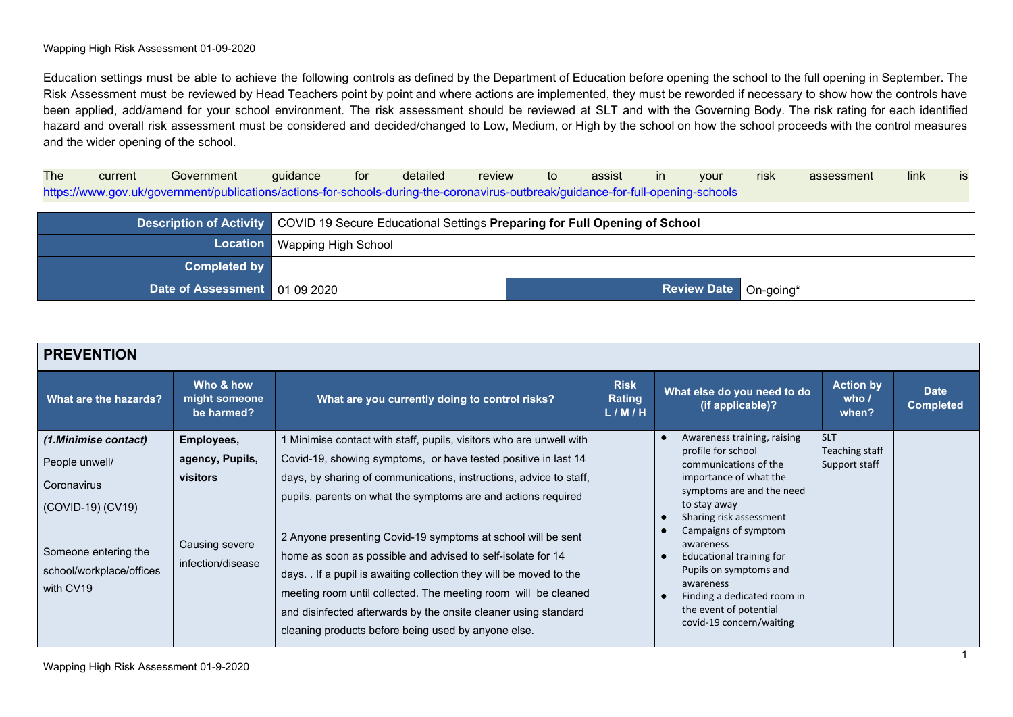Education settings must be able to achieve the following controls as defined by the Department of Education before opening the school to the full opening in September. The Risk Assessment must be reviewed by Head Teachers point by point and where actions are implemented, they must be reworded if necessary to show how the controls have been applied, add/amend for your school environment. The risk assessment should be reviewed at SLT and with the Governing Body. The risk rating for each identified hazard and overall risk assessment must be considered and decided/changed to Low, Medium, or High by the school on how the school proceeds with the control measures and the wider opening of the school.

The current Government guidance for detailed review to assist in your risk assessment link is <https://www.gov.uk/government/publications/actions-for-schools-during-the-coronavirus-outbreak/guidance-for-full-opening-schools>

|                                 |                              | <b>Description of Activity COVID 19 Secure Educational Settings Preparing for Full Opening of School</b> |  |  |
|---------------------------------|------------------------------|----------------------------------------------------------------------------------------------------------|--|--|
|                                 | Location Wapping High School |                                                                                                          |  |  |
| <b>Completed by</b>             |                              |                                                                                                          |  |  |
| Date of Assessment   01 09 2020 |                              | Review Date On-going*                                                                                    |  |  |

| <b>PREVENTION</b>                                                                                                                           |                                                                                  |                                                                                                                                                                                                                                                                                                                                                                                                                                                                                                                                                                                                                                                                              |                                |                                                                                                                                                                                                                                                                                                                                                                           |                                               |                                 |
|---------------------------------------------------------------------------------------------------------------------------------------------|----------------------------------------------------------------------------------|------------------------------------------------------------------------------------------------------------------------------------------------------------------------------------------------------------------------------------------------------------------------------------------------------------------------------------------------------------------------------------------------------------------------------------------------------------------------------------------------------------------------------------------------------------------------------------------------------------------------------------------------------------------------------|--------------------------------|---------------------------------------------------------------------------------------------------------------------------------------------------------------------------------------------------------------------------------------------------------------------------------------------------------------------------------------------------------------------------|-----------------------------------------------|---------------------------------|
| What are the hazards?                                                                                                                       | Who & how<br>might someone<br>be harmed?                                         | What are you currently doing to control risks?                                                                                                                                                                                                                                                                                                                                                                                                                                                                                                                                                                                                                               | <b>Risk</b><br>Rating<br>L/M/H | What else do you need to do<br>(if applicable)?                                                                                                                                                                                                                                                                                                                           | <b>Action by</b><br>who $\prime$<br>when?     | <b>Date</b><br><b>Completed</b> |
| (1.Minimise contact)<br>People unwell/<br>Coronavirus<br>(COVID-19) (CV19)<br>Someone entering the<br>school/workplace/offices<br>with CV19 | Employees,<br>agency, Pupils,<br>visitors<br>Causing severe<br>infection/disease | 1 Minimise contact with staff, pupils, visitors who are unwell with<br>Covid-19, showing symptoms, or have tested positive in last 14<br>days, by sharing of communications, instructions, advice to staff,<br>pupils, parents on what the symptoms are and actions required<br>2 Anyone presenting Covid-19 symptoms at school will be sent<br>home as soon as possible and advised to self-isolate for 14<br>days. If a pupil is awaiting collection they will be moved to the<br>meeting room until collected. The meeting room will be cleaned<br>and disinfected afterwards by the onsite cleaner using standard<br>cleaning products before being used by anyone else. |                                | Awareness training, raising<br>profile for school<br>communications of the<br>importance of what the<br>symptoms are and the need<br>to stay away<br>Sharing risk assessment<br>Campaigns of symptom<br>awareness<br>Educational training for<br>Pupils on symptoms and<br>awareness<br>Finding a dedicated room in<br>the event of potential<br>covid-19 concern/waiting | <b>SLT</b><br>Teaching staff<br>Support staff |                                 |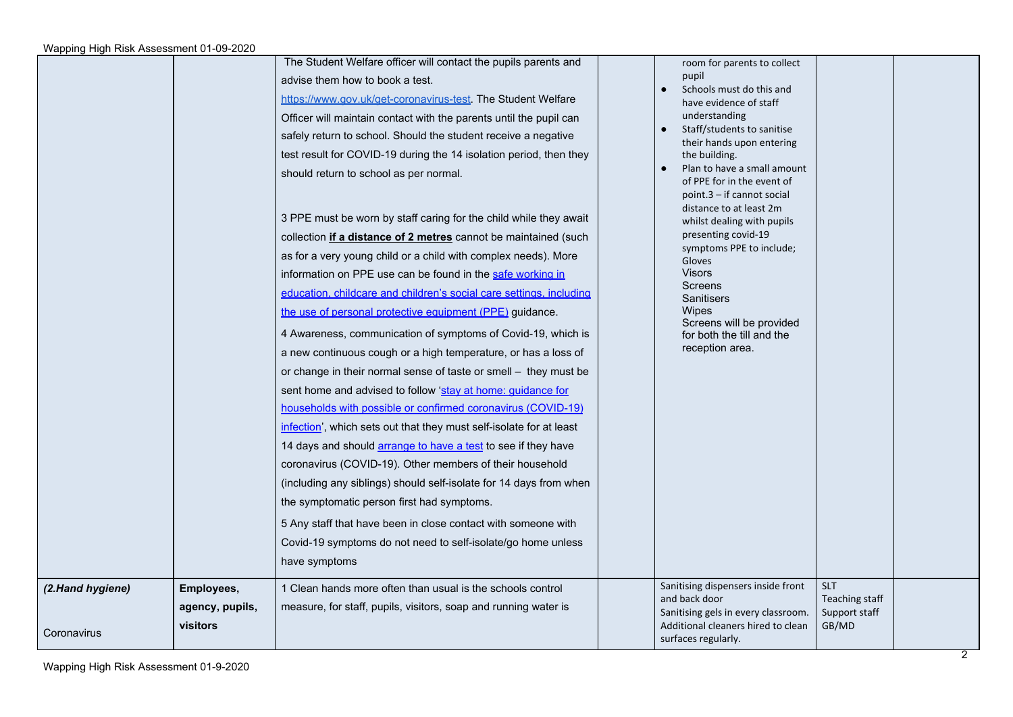|                                 |                                           | The Student Welfare officer will contact the pupils parents and<br>advise them how to book a test.<br>https://www.gov.uk/get-coronavirus-test. The Student Welfare<br>Officer will maintain contact with the parents until the pupil can<br>safely return to school. Should the student receive a negative<br>test result for COVID-19 during the 14 isolation period, then they<br>should return to school as per normal.<br>3 PPE must be worn by staff caring for the child while they await<br>collection if a distance of 2 metres cannot be maintained (such<br>as for a very young child or a child with complex needs). More<br>information on PPE use can be found in the safe working in<br>education, childcare and children's social care settings, including<br>the use of personal protective equipment (PPE) guidance.<br>4 Awareness, communication of symptoms of Covid-19, which is<br>a new continuous cough or a high temperature, or has a loss of<br>or change in their normal sense of taste or smell - they must be<br>sent home and advised to follow 'stay at home: guidance for<br>households with possible or confirmed coronavirus (COVID-19)<br>infection', which sets out that they must self-isolate for at least<br>14 days and should arrange to have a test to see if they have<br>coronavirus (COVID-19). Other members of their household<br>(including any siblings) should self-isolate for 14 days from when<br>the symptomatic person first had symptoms.<br>5 Any staff that have been in close contact with someone with<br>Covid-19 symptoms do not need to self-isolate/go home unless<br>have symptoms | room for parents to collect<br>pupil<br>Schools must do this and<br>have evidence of staff<br>understanding<br>Staff/students to sanitise<br>their hands upon entering<br>the building.<br>Plan to have a small amount<br>of PPE for in the event of<br>point.3 - if cannot social<br>distance to at least 2m<br>whilst dealing with pupils<br>presenting covid-19<br>symptoms PPE to include;<br>Gloves<br><b>Visors</b><br>Screens<br><b>Sanitisers</b><br>Wipes<br>Screens will be provided<br>for both the till and the<br>reception area. |                                                        |  |
|---------------------------------|-------------------------------------------|------------------------------------------------------------------------------------------------------------------------------------------------------------------------------------------------------------------------------------------------------------------------------------------------------------------------------------------------------------------------------------------------------------------------------------------------------------------------------------------------------------------------------------------------------------------------------------------------------------------------------------------------------------------------------------------------------------------------------------------------------------------------------------------------------------------------------------------------------------------------------------------------------------------------------------------------------------------------------------------------------------------------------------------------------------------------------------------------------------------------------------------------------------------------------------------------------------------------------------------------------------------------------------------------------------------------------------------------------------------------------------------------------------------------------------------------------------------------------------------------------------------------------------------------------------------------------------------------------------------------------------------------------|------------------------------------------------------------------------------------------------------------------------------------------------------------------------------------------------------------------------------------------------------------------------------------------------------------------------------------------------------------------------------------------------------------------------------------------------------------------------------------------------------------------------------------------------|--------------------------------------------------------|--|
| (2.Hand hygiene)<br>Coronavirus | Employees,<br>agency, pupils,<br>visitors | 1 Clean hands more often than usual is the schools control<br>measure, for staff, pupils, visitors, soap and running water is                                                                                                                                                                                                                                                                                                                                                                                                                                                                                                                                                                                                                                                                                                                                                                                                                                                                                                                                                                                                                                                                                                                                                                                                                                                                                                                                                                                                                                                                                                                        | Sanitising dispensers inside front<br>and back door<br>Sanitising gels in every classroom.<br>Additional cleaners hired to clean<br>surfaces regularly.                                                                                                                                                                                                                                                                                                                                                                                        | <b>SLT</b><br>Teaching staff<br>Support staff<br>GB/MD |  |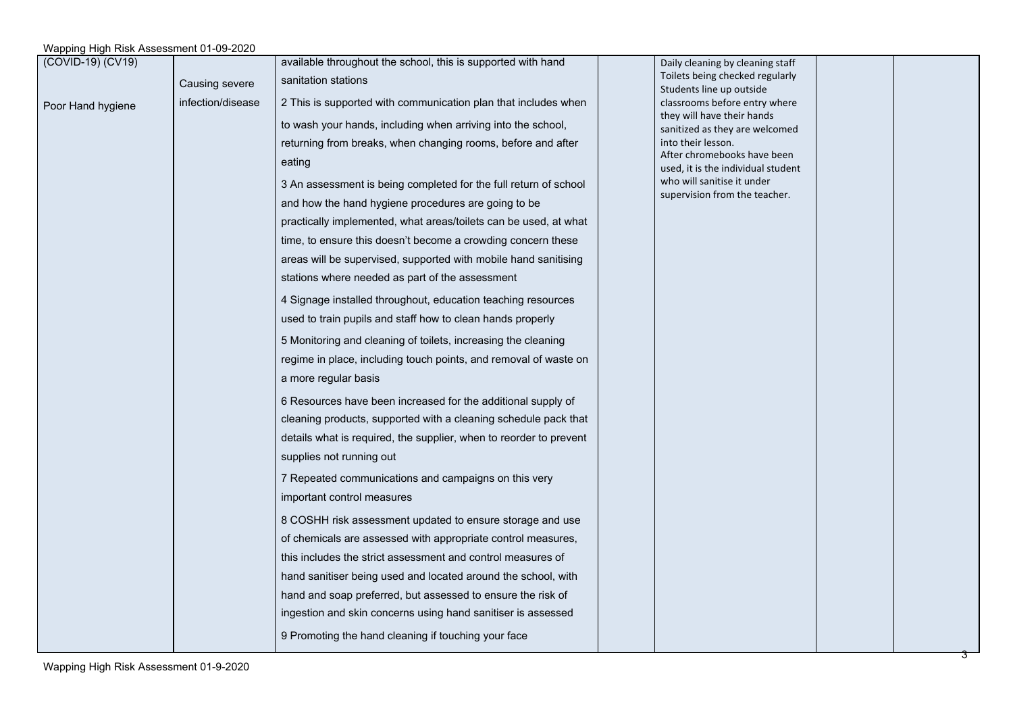| (COVID-19) (CV19) |                   | available throughout the school, this is supported with hand       | Daily cleaning by cleaning staff                                  |  |
|-------------------|-------------------|--------------------------------------------------------------------|-------------------------------------------------------------------|--|
|                   | Causing severe    | sanitation stations                                                | Toilets being checked regularly<br>Students line up outside       |  |
| Poor Hand hygiene | infection/disease | 2 This is supported with communication plan that includes when     | classrooms before entry where                                     |  |
|                   |                   | to wash your hands, including when arriving into the school,       | they will have their hands<br>sanitized as they are welcomed      |  |
|                   |                   | returning from breaks, when changing rooms, before and after       | into their lesson.                                                |  |
|                   |                   | eating                                                             | After chromebooks have been<br>used, it is the individual student |  |
|                   |                   | 3 An assessment is being completed for the full return of school   | who will sanitise it under<br>supervision from the teacher.       |  |
|                   |                   | and how the hand hygiene procedures are going to be                |                                                                   |  |
|                   |                   | practically implemented, what areas/toilets can be used, at what   |                                                                   |  |
|                   |                   | time, to ensure this doesn't become a crowding concern these       |                                                                   |  |
|                   |                   | areas will be supervised, supported with mobile hand sanitising    |                                                                   |  |
|                   |                   | stations where needed as part of the assessment                    |                                                                   |  |
|                   |                   | 4 Signage installed throughout, education teaching resources       |                                                                   |  |
|                   |                   | used to train pupils and staff how to clean hands properly         |                                                                   |  |
|                   |                   | 5 Monitoring and cleaning of toilets, increasing the cleaning      |                                                                   |  |
|                   |                   | regime in place, including touch points, and removal of waste on   |                                                                   |  |
|                   |                   | a more regular basis                                               |                                                                   |  |
|                   |                   | 6 Resources have been increased for the additional supply of       |                                                                   |  |
|                   |                   | cleaning products, supported with a cleaning schedule pack that    |                                                                   |  |
|                   |                   | details what is required, the supplier, when to reorder to prevent |                                                                   |  |
|                   |                   | supplies not running out                                           |                                                                   |  |
|                   |                   | 7 Repeated communications and campaigns on this very               |                                                                   |  |
|                   |                   | important control measures                                         |                                                                   |  |
|                   |                   | 8 COSHH risk assessment updated to ensure storage and use          |                                                                   |  |
|                   |                   | of chemicals are assessed with appropriate control measures,       |                                                                   |  |
|                   |                   | this includes the strict assessment and control measures of        |                                                                   |  |
|                   |                   | hand sanitiser being used and located around the school, with      |                                                                   |  |
|                   |                   | hand and soap preferred, but assessed to ensure the risk of        |                                                                   |  |
|                   |                   | ingestion and skin concerns using hand sanitiser is assessed       |                                                                   |  |
|                   |                   | 9 Promoting the hand cleaning if touching your face                |                                                                   |  |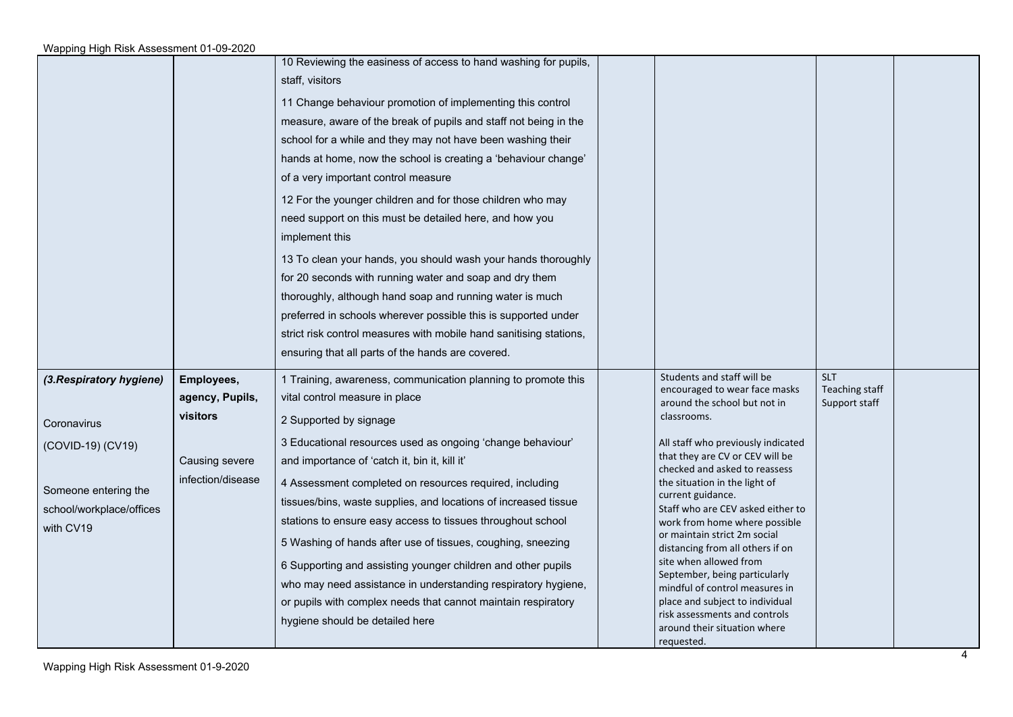|                                                                                                                               |                                                                                  | 10 Reviewing the easiness of access to hand washing for pupils,<br>staff, visitors<br>11 Change behaviour promotion of implementing this control<br>measure, aware of the break of pupils and staff not being in the<br>school for a while and they may not have been washing their<br>hands at home, now the school is creating a 'behaviour change'<br>of a very important control measure<br>12 For the younger children and for those children who may<br>need support on this must be detailed here, and how you<br>implement this<br>13 To clean your hands, you should wash your hands thoroughly<br>for 20 seconds with running water and soap and dry them<br>thoroughly, although hand soap and running water is much<br>preferred in schools wherever possible this is supported under<br>strict risk control measures with mobile hand sanitising stations,<br>ensuring that all parts of the hands are covered. |                                                                                                                                                                                                                                                                                                                                                                                                                                                                                                                                                                                                                                     |                                                      |  |
|-------------------------------------------------------------------------------------------------------------------------------|----------------------------------------------------------------------------------|------------------------------------------------------------------------------------------------------------------------------------------------------------------------------------------------------------------------------------------------------------------------------------------------------------------------------------------------------------------------------------------------------------------------------------------------------------------------------------------------------------------------------------------------------------------------------------------------------------------------------------------------------------------------------------------------------------------------------------------------------------------------------------------------------------------------------------------------------------------------------------------------------------------------------|-------------------------------------------------------------------------------------------------------------------------------------------------------------------------------------------------------------------------------------------------------------------------------------------------------------------------------------------------------------------------------------------------------------------------------------------------------------------------------------------------------------------------------------------------------------------------------------------------------------------------------------|------------------------------------------------------|--|
| (3. Respiratory hygiene)<br>Coronavirus<br>(COVID-19) (CV19)<br>Someone entering the<br>school/workplace/offices<br>with CV19 | Employees,<br>agency, Pupils,<br>visitors<br>Causing severe<br>infection/disease | 1 Training, awareness, communication planning to promote this<br>vital control measure in place<br>2 Supported by signage<br>3 Educational resources used as ongoing 'change behaviour'<br>and importance of 'catch it, bin it, kill it'<br>4 Assessment completed on resources required, including<br>tissues/bins, waste supplies, and locations of increased tissue<br>stations to ensure easy access to tissues throughout school<br>5 Washing of hands after use of tissues, coughing, sneezing<br>6 Supporting and assisting younger children and other pupils<br>who may need assistance in understanding respiratory hygiene,<br>or pupils with complex needs that cannot maintain respiratory<br>hygiene should be detailed here                                                                                                                                                                                    | Students and staff will be<br>encouraged to wear face masks<br>around the school but not in<br>classrooms.<br>All staff who previously indicated<br>that they are CV or CEV will be<br>checked and asked to reassess<br>the situation in the light of<br>current guidance.<br>Staff who are CEV asked either to<br>work from home where possible<br>or maintain strict 2m social<br>distancing from all others if on<br>site when allowed from<br>September, being particularly<br>mindful of control measures in<br>place and subject to individual<br>risk assessments and controls<br>around their situation where<br>requested. | <b>SLT</b><br><b>Teaching staff</b><br>Support staff |  |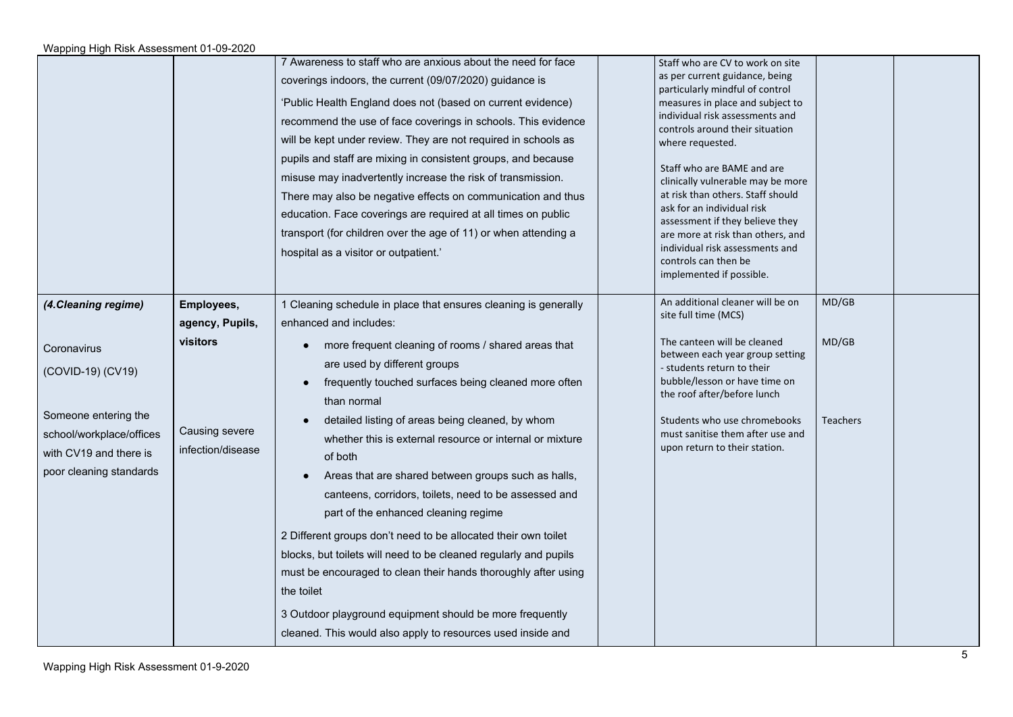|                                                                                                                                                                   |                                                                                  | 7 Awareness to staff who are anxious about the need for face<br>coverings indoors, the current (09/07/2020) guidance is<br>'Public Health England does not (based on current evidence)<br>recommend the use of face coverings in schools. This evidence<br>will be kept under review. They are not required in schools as<br>pupils and staff are mixing in consistent groups, and because<br>misuse may inadvertently increase the risk of transmission.<br>There may also be negative effects on communication and thus<br>education. Face coverings are required at all times on public<br>transport (for children over the age of 11) or when attending a<br>hospital as a visitor or outpatient.'                                             | Staff who are CV to work on site<br>as per current guidance, being<br>particularly mindful of control<br>measures in place and subject to<br>individual risk assessments and<br>controls around their situation<br>where requested.<br>Staff who are BAME and are<br>clinically vulnerable may be more<br>at risk than others. Staff should<br>ask for an individual risk<br>assessment if they believe they<br>are more at risk than others, and<br>individual risk assessments and<br>controls can then be<br>implemented if possible. |                                   |  |
|-------------------------------------------------------------------------------------------------------------------------------------------------------------------|----------------------------------------------------------------------------------|----------------------------------------------------------------------------------------------------------------------------------------------------------------------------------------------------------------------------------------------------------------------------------------------------------------------------------------------------------------------------------------------------------------------------------------------------------------------------------------------------------------------------------------------------------------------------------------------------------------------------------------------------------------------------------------------------------------------------------------------------|------------------------------------------------------------------------------------------------------------------------------------------------------------------------------------------------------------------------------------------------------------------------------------------------------------------------------------------------------------------------------------------------------------------------------------------------------------------------------------------------------------------------------------------|-----------------------------------|--|
| (4. Cleaning regime)<br>Coronavirus<br>(COVID-19) (CV19)<br>Someone entering the<br>school/workplace/offices<br>with CV19 and there is<br>poor cleaning standards | Employees,<br>agency, Pupils,<br>visitors<br>Causing severe<br>infection/disease | 1 Cleaning schedule in place that ensures cleaning is generally<br>enhanced and includes:<br>more frequent cleaning of rooms / shared areas that<br>are used by different groups<br>frequently touched surfaces being cleaned more often<br>than normal<br>detailed listing of areas being cleaned, by whom<br>whether this is external resource or internal or mixture<br>of both<br>Areas that are shared between groups such as halls,<br>canteens, corridors, toilets, need to be assessed and<br>part of the enhanced cleaning regime<br>2 Different groups don't need to be allocated their own toilet<br>blocks, but toilets will need to be cleaned regularly and pupils<br>must be encouraged to clean their hands thoroughly after using | An additional cleaner will be on<br>site full time (MCS)<br>The canteen will be cleaned<br>between each year group setting<br>- students return to their<br>bubble/lesson or have time on<br>the roof after/before lunch<br>Students who use chromebooks<br>must sanitise them after use and<br>upon return to their station.                                                                                                                                                                                                            | MD/GB<br>MD/GB<br><b>Teachers</b> |  |
|                                                                                                                                                                   |                                                                                  | the toilet<br>3 Outdoor playground equipment should be more frequently<br>cleaned. This would also apply to resources used inside and                                                                                                                                                                                                                                                                                                                                                                                                                                                                                                                                                                                                              |                                                                                                                                                                                                                                                                                                                                                                                                                                                                                                                                          |                                   |  |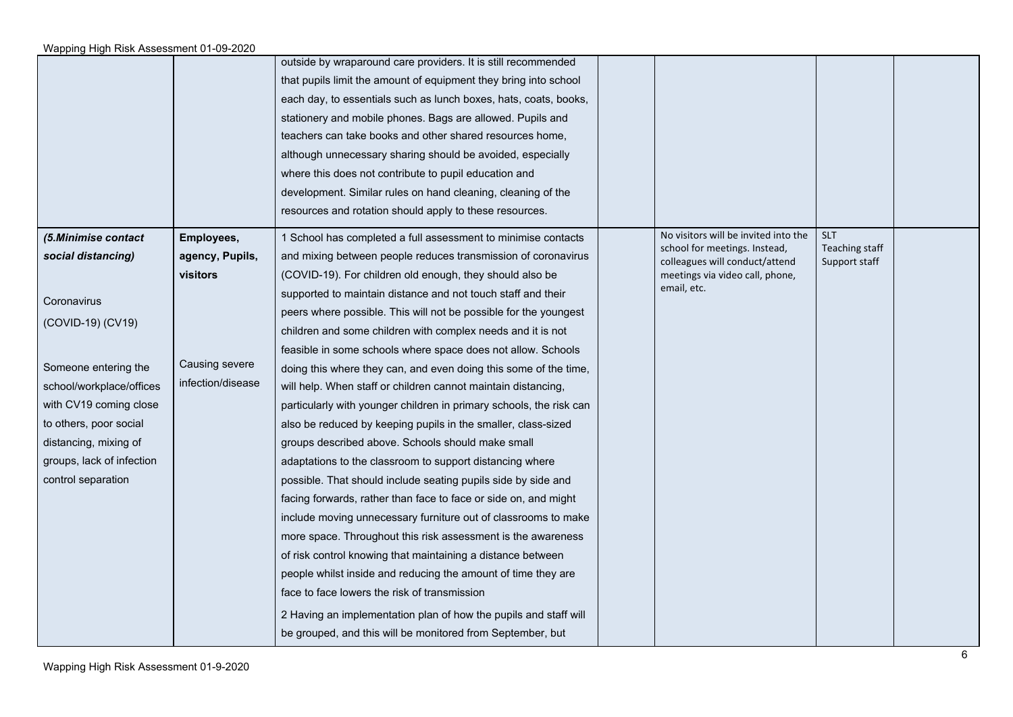|                           |                   | outside by wraparound care providers. It is still recommended<br>that pupils limit the amount of equipment they bring into school<br>each day, to essentials such as lunch boxes, hats, coats, books,<br>stationery and mobile phones. Bags are allowed. Pupils and<br>teachers can take books and other shared resources home,<br>although unnecessary sharing should be avoided, especially<br>where this does not contribute to pupil education and<br>development. Similar rules on hand cleaning, cleaning of the<br>resources and rotation should apply to these resources. |                                                                 |                                 |  |
|---------------------------|-------------------|-----------------------------------------------------------------------------------------------------------------------------------------------------------------------------------------------------------------------------------------------------------------------------------------------------------------------------------------------------------------------------------------------------------------------------------------------------------------------------------------------------------------------------------------------------------------------------------|-----------------------------------------------------------------|---------------------------------|--|
| (5.Minimise contact       | Employees,        | 1 School has completed a full assessment to minimise contacts                                                                                                                                                                                                                                                                                                                                                                                                                                                                                                                     | No visitors will be invited into the                            | <b>SLT</b>                      |  |
| social distancing)        | agency, Pupils,   | and mixing between people reduces transmission of coronavirus                                                                                                                                                                                                                                                                                                                                                                                                                                                                                                                     | school for meetings. Instead,<br>colleagues will conduct/attend | Teaching staff<br>Support staff |  |
|                           | visitors          | (COVID-19). For children old enough, they should also be                                                                                                                                                                                                                                                                                                                                                                                                                                                                                                                          | meetings via video call, phone,                                 |                                 |  |
| Coronavirus               |                   | supported to maintain distance and not touch staff and their                                                                                                                                                                                                                                                                                                                                                                                                                                                                                                                      | email, etc.                                                     |                                 |  |
| (COVID-19) (CV19)         |                   | peers where possible. This will not be possible for the youngest                                                                                                                                                                                                                                                                                                                                                                                                                                                                                                                  |                                                                 |                                 |  |
|                           |                   | children and some children with complex needs and it is not                                                                                                                                                                                                                                                                                                                                                                                                                                                                                                                       |                                                                 |                                 |  |
|                           |                   | feasible in some schools where space does not allow. Schools                                                                                                                                                                                                                                                                                                                                                                                                                                                                                                                      |                                                                 |                                 |  |
| Someone entering the      | Causing severe    | doing this where they can, and even doing this some of the time,                                                                                                                                                                                                                                                                                                                                                                                                                                                                                                                  |                                                                 |                                 |  |
| school/workplace/offices  | infection/disease | will help. When staff or children cannot maintain distancing,                                                                                                                                                                                                                                                                                                                                                                                                                                                                                                                     |                                                                 |                                 |  |
| with CV19 coming close    |                   | particularly with younger children in primary schools, the risk can                                                                                                                                                                                                                                                                                                                                                                                                                                                                                                               |                                                                 |                                 |  |
| to others, poor social    |                   | also be reduced by keeping pupils in the smaller, class-sized                                                                                                                                                                                                                                                                                                                                                                                                                                                                                                                     |                                                                 |                                 |  |
| distancing, mixing of     |                   | groups described above. Schools should make small                                                                                                                                                                                                                                                                                                                                                                                                                                                                                                                                 |                                                                 |                                 |  |
| groups, lack of infection |                   | adaptations to the classroom to support distancing where                                                                                                                                                                                                                                                                                                                                                                                                                                                                                                                          |                                                                 |                                 |  |
| control separation        |                   | possible. That should include seating pupils side by side and                                                                                                                                                                                                                                                                                                                                                                                                                                                                                                                     |                                                                 |                                 |  |
|                           |                   | facing forwards, rather than face to face or side on, and might                                                                                                                                                                                                                                                                                                                                                                                                                                                                                                                   |                                                                 |                                 |  |
|                           |                   | include moving unnecessary furniture out of classrooms to make                                                                                                                                                                                                                                                                                                                                                                                                                                                                                                                    |                                                                 |                                 |  |
|                           |                   | more space. Throughout this risk assessment is the awareness                                                                                                                                                                                                                                                                                                                                                                                                                                                                                                                      |                                                                 |                                 |  |
|                           |                   | of risk control knowing that maintaining a distance between                                                                                                                                                                                                                                                                                                                                                                                                                                                                                                                       |                                                                 |                                 |  |
|                           |                   | people whilst inside and reducing the amount of time they are                                                                                                                                                                                                                                                                                                                                                                                                                                                                                                                     |                                                                 |                                 |  |
|                           |                   | face to face lowers the risk of transmission                                                                                                                                                                                                                                                                                                                                                                                                                                                                                                                                      |                                                                 |                                 |  |
|                           |                   | 2 Having an implementation plan of how the pupils and staff will                                                                                                                                                                                                                                                                                                                                                                                                                                                                                                                  |                                                                 |                                 |  |
|                           |                   | be grouped, and this will be monitored from September, but                                                                                                                                                                                                                                                                                                                                                                                                                                                                                                                        |                                                                 |                                 |  |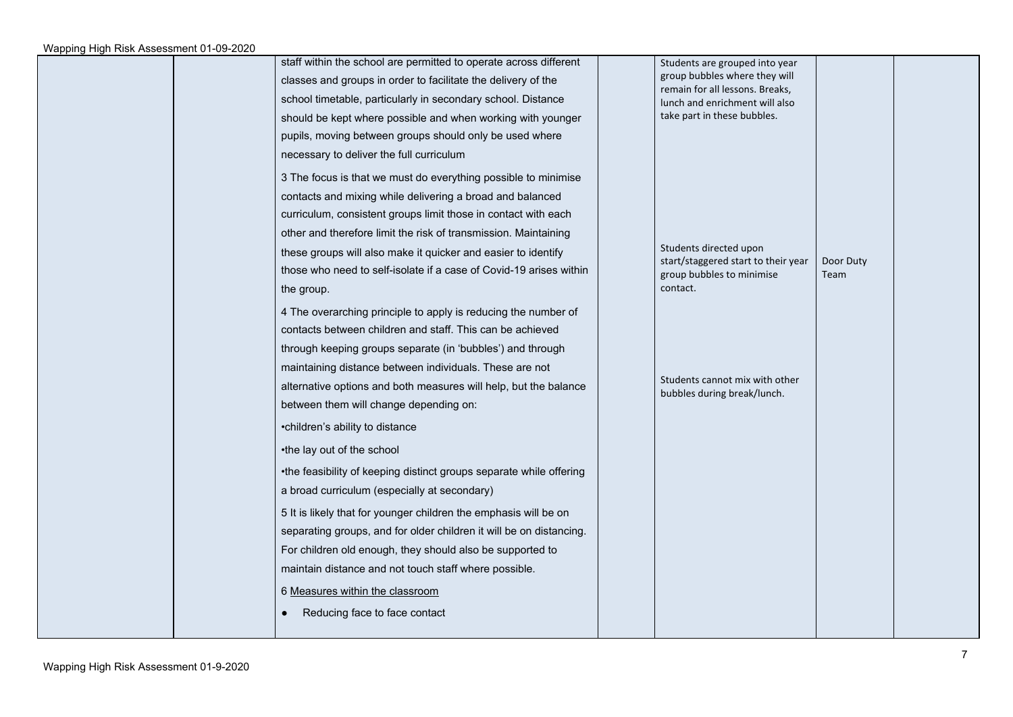|  | staff within the school are permitted to operate across different   | Students are grouped into year                                   |                   |  |
|--|---------------------------------------------------------------------|------------------------------------------------------------------|-------------------|--|
|  | classes and groups in order to facilitate the delivery of the       | group bubbles where they will<br>remain for all lessons. Breaks, |                   |  |
|  | school timetable, particularly in secondary school. Distance        | lunch and enrichment will also                                   |                   |  |
|  | should be kept where possible and when working with younger         | take part in these bubbles.                                      |                   |  |
|  | pupils, moving between groups should only be used where             |                                                                  |                   |  |
|  | necessary to deliver the full curriculum                            |                                                                  |                   |  |
|  | 3 The focus is that we must do everything possible to minimise      |                                                                  |                   |  |
|  | contacts and mixing while delivering a broad and balanced           |                                                                  |                   |  |
|  | curriculum, consistent groups limit those in contact with each      |                                                                  |                   |  |
|  | other and therefore limit the risk of transmission. Maintaining     |                                                                  |                   |  |
|  | these groups will also make it quicker and easier to identify       | Students directed upon                                           |                   |  |
|  | those who need to self-isolate if a case of Covid-19 arises within  | start/staggered start to their year<br>group bubbles to minimise | Door Duty<br>Team |  |
|  | the group.                                                          | contact.                                                         |                   |  |
|  | 4 The overarching principle to apply is reducing the number of      |                                                                  |                   |  |
|  | contacts between children and staff. This can be achieved           |                                                                  |                   |  |
|  | through keeping groups separate (in 'bubbles') and through          |                                                                  |                   |  |
|  | maintaining distance between individuals. These are not             |                                                                  |                   |  |
|  | alternative options and both measures will help, but the balance    | Students cannot mix with other<br>bubbles during break/lunch.    |                   |  |
|  | between them will change depending on:                              |                                                                  |                   |  |
|  | •children's ability to distance                                     |                                                                  |                   |  |
|  | •the lay out of the school                                          |                                                                  |                   |  |
|  | •the feasibility of keeping distinct groups separate while offering |                                                                  |                   |  |
|  | a broad curriculum (especially at secondary)                        |                                                                  |                   |  |
|  | 5 It is likely that for younger children the emphasis will be on    |                                                                  |                   |  |
|  | separating groups, and for older children it will be on distancing. |                                                                  |                   |  |
|  | For children old enough, they should also be supported to           |                                                                  |                   |  |
|  | maintain distance and not touch staff where possible.               |                                                                  |                   |  |
|  | 6 Measures within the classroom                                     |                                                                  |                   |  |
|  | Reducing face to face contact                                       |                                                                  |                   |  |
|  |                                                                     |                                                                  |                   |  |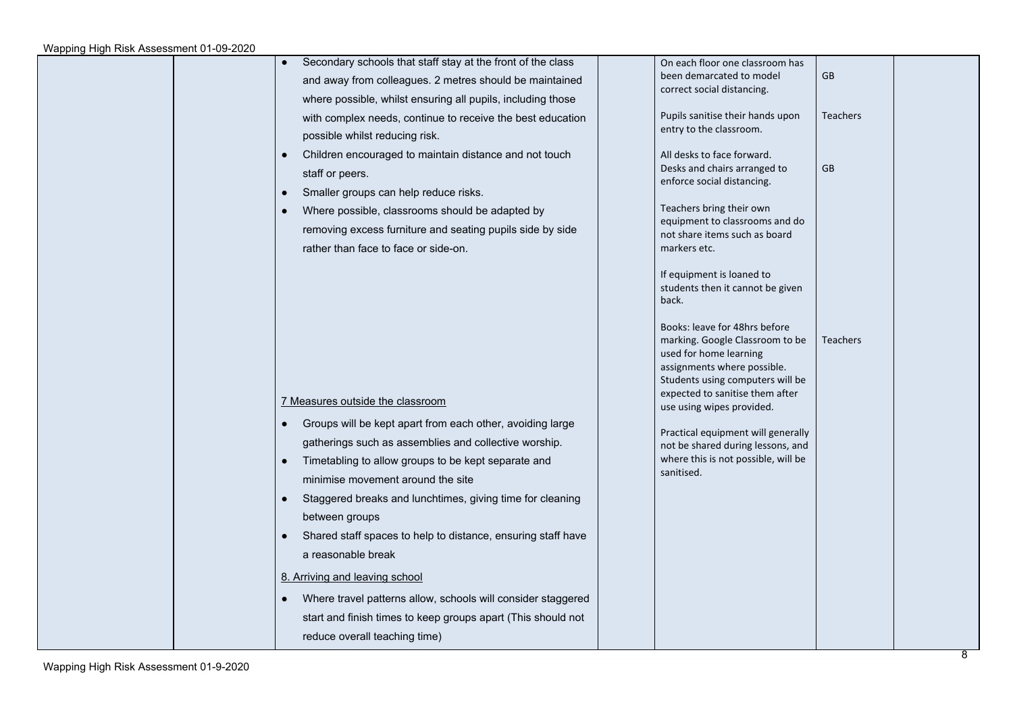| Secondary schools that staff stay at the front of the class<br>and away from colleagues. 2 metres should be maintained<br>where possible, whilst ensuring all pupils, including those<br>with complex needs, continue to receive the best education<br>possible whilst reducing risk.<br>Children encouraged to maintain distance and not touch<br>$\bullet$<br>staff or peers.<br>Smaller groups can help reduce risks.<br>$\bullet$<br>Where possible, classrooms should be adapted by                                                                                                                                                                                                    | On each floor one classroom has<br>been demarcated to model<br>correct social distancing.<br>Pupils sanitise their hands upon<br>entry to the classroom.<br>All desks to face forward.<br>Desks and chairs arranged to<br>enforce social distancing.<br>Teachers bring their own                                           | GB<br><b>Teachers</b><br>GB |
|---------------------------------------------------------------------------------------------------------------------------------------------------------------------------------------------------------------------------------------------------------------------------------------------------------------------------------------------------------------------------------------------------------------------------------------------------------------------------------------------------------------------------------------------------------------------------------------------------------------------------------------------------------------------------------------------|----------------------------------------------------------------------------------------------------------------------------------------------------------------------------------------------------------------------------------------------------------------------------------------------------------------------------|-----------------------------|
| removing excess furniture and seating pupils side by side<br>rather than face to face or side-on.                                                                                                                                                                                                                                                                                                                                                                                                                                                                                                                                                                                           | equipment to classrooms and do<br>not share items such as board<br>markers etc.<br>If equipment is loaned to<br>students then it cannot be given<br>back.<br>Books: leave for 48hrs before<br>marking. Google Classroom to be<br>used for home learning<br>assignments where possible.<br>Students using computers will be | <b>Teachers</b>             |
| 7 Measures outside the classroom<br>Groups will be kept apart from each other, avoiding large<br>$\bullet$<br>gatherings such as assemblies and collective worship.<br>Timetabling to allow groups to be kept separate and<br>$\bullet$<br>minimise movement around the site<br>Staggered breaks and lunchtimes, giving time for cleaning<br>$\bullet$<br>between groups<br>Shared staff spaces to help to distance, ensuring staff have<br>$\bullet$<br>a reasonable break<br>8. Arriving and leaving school<br>Where travel patterns allow, schools will consider staggered<br>$\bullet$<br>start and finish times to keep groups apart (This should not<br>reduce overall teaching time) | expected to sanitise them after<br>use using wipes provided.<br>Practical equipment will generally<br>not be shared during lessons, and<br>where this is not possible, will be<br>sanitised.                                                                                                                               |                             |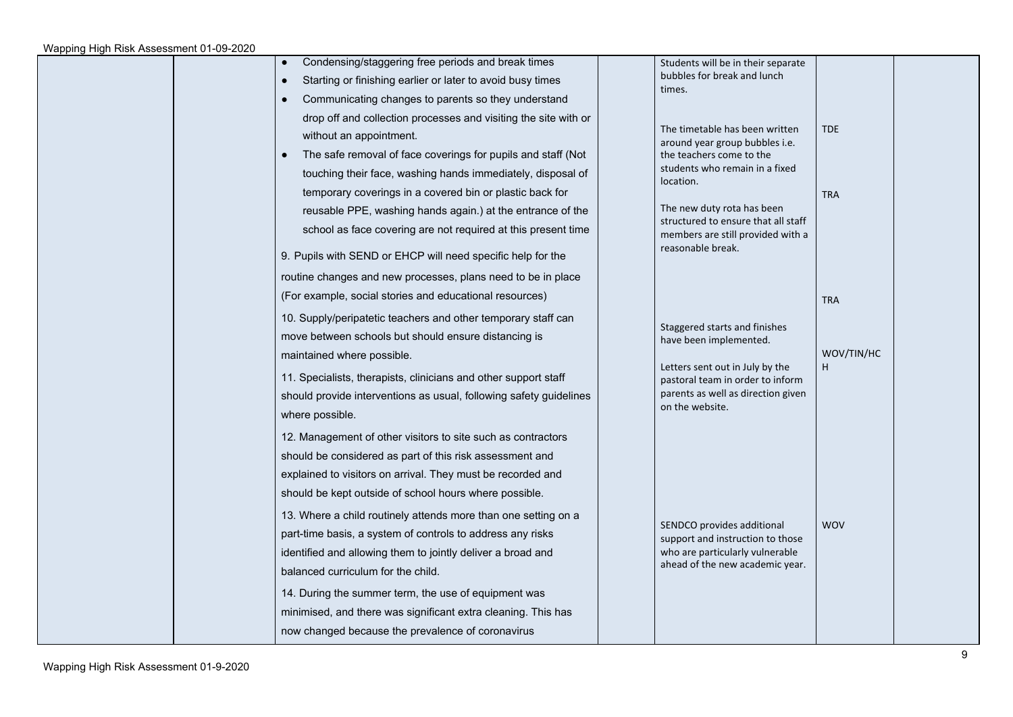| Condensing/staggering free periods and break times<br>$\bullet$<br>Starting or finishing earlier or later to avoid busy times<br>Communicating changes to parents so they understand<br>drop off and collection processes and visiting the site with or<br>without an appointment.<br>The safe removal of face coverings for pupils and staff (Not<br>touching their face, washing hands immediately, disposal of<br>temporary coverings in a covered bin or plastic back for<br>reusable PPE, washing hands again.) at the entrance of the<br>school as face covering are not required at this present time                                                         | Students will be in their separate<br>bubbles for break and lunch<br>times.<br>The timetable has been written<br>around year group bubbles i.e.<br>the teachers come to the<br>students who remain in a fixed<br>location.<br>The new duty rota has been<br>structured to ensure that all staff | <b>TDE</b><br><b>TRA</b> |
|----------------------------------------------------------------------------------------------------------------------------------------------------------------------------------------------------------------------------------------------------------------------------------------------------------------------------------------------------------------------------------------------------------------------------------------------------------------------------------------------------------------------------------------------------------------------------------------------------------------------------------------------------------------------|-------------------------------------------------------------------------------------------------------------------------------------------------------------------------------------------------------------------------------------------------------------------------------------------------|--------------------------|
| 9. Pupils with SEND or EHCP will need specific help for the<br>routine changes and new processes, plans need to be in place<br>(For example, social stories and educational resources)<br>10. Supply/peripatetic teachers and other temporary staff can                                                                                                                                                                                                                                                                                                                                                                                                              | members are still provided with a<br>reasonable break.<br>Staggered starts and finishes                                                                                                                                                                                                         | <b>TRA</b>               |
| move between schools but should ensure distancing is<br>maintained where possible.<br>11. Specialists, therapists, clinicians and other support staff<br>should provide interventions as usual, following safety guidelines<br>where possible.                                                                                                                                                                                                                                                                                                                                                                                                                       | have been implemented.<br>Letters sent out in July by the<br>pastoral team in order to inform<br>parents as well as direction given<br>on the website.                                                                                                                                          | WOV/TIN/HC<br>H          |
| 12. Management of other visitors to site such as contractors<br>should be considered as part of this risk assessment and<br>explained to visitors on arrival. They must be recorded and<br>should be kept outside of school hours where possible.<br>13. Where a child routinely attends more than one setting on a<br>part-time basis, a system of controls to address any risks<br>identified and allowing them to jointly deliver a broad and<br>balanced curriculum for the child.<br>14. During the summer term, the use of equipment was<br>minimised, and there was significant extra cleaning. This has<br>now changed because the prevalence of coronavirus | SENDCO provides additional<br>support and instruction to those<br>who are particularly vulnerable<br>ahead of the new academic year.                                                                                                                                                            | <b>WOV</b>               |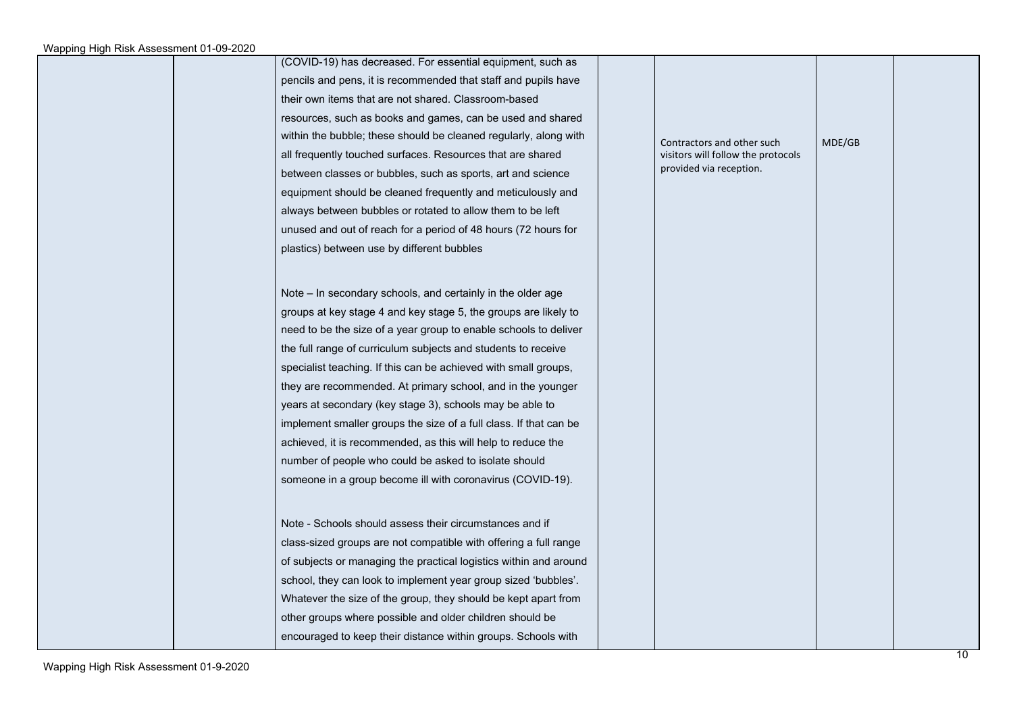|  | (COVID-19) has decreased. For essential equipment, such as        |                                    |        |  |
|--|-------------------------------------------------------------------|------------------------------------|--------|--|
|  | pencils and pens, it is recommended that staff and pupils have    |                                    |        |  |
|  | their own items that are not shared. Classroom-based              |                                    |        |  |
|  | resources, such as books and games, can be used and shared        |                                    |        |  |
|  | within the bubble; these should be cleaned regularly, along with  | Contractors and other such         | MDE/GB |  |
|  | all frequently touched surfaces. Resources that are shared        | visitors will follow the protocols |        |  |
|  | between classes or bubbles, such as sports, art and science       | provided via reception.            |        |  |
|  | equipment should be cleaned frequently and meticulously and       |                                    |        |  |
|  | always between bubbles or rotated to allow them to be left        |                                    |        |  |
|  | unused and out of reach for a period of 48 hours (72 hours for    |                                    |        |  |
|  | plastics) between use by different bubbles                        |                                    |        |  |
|  |                                                                   |                                    |        |  |
|  | Note – In secondary schools, and certainly in the older age       |                                    |        |  |
|  | groups at key stage 4 and key stage 5, the groups are likely to   |                                    |        |  |
|  | need to be the size of a year group to enable schools to deliver  |                                    |        |  |
|  | the full range of curriculum subjects and students to receive     |                                    |        |  |
|  | specialist teaching. If this can be achieved with small groups,   |                                    |        |  |
|  | they are recommended. At primary school, and in the younger       |                                    |        |  |
|  | years at secondary (key stage 3), schools may be able to          |                                    |        |  |
|  | implement smaller groups the size of a full class. If that can be |                                    |        |  |
|  | achieved, it is recommended, as this will help to reduce the      |                                    |        |  |
|  | number of people who could be asked to isolate should             |                                    |        |  |
|  | someone in a group become ill with coronavirus (COVID-19).        |                                    |        |  |
|  |                                                                   |                                    |        |  |
|  |                                                                   |                                    |        |  |
|  | Note - Schools should assess their circumstances and if           |                                    |        |  |
|  | class-sized groups are not compatible with offering a full range  |                                    |        |  |
|  | of subjects or managing the practical logistics within and around |                                    |        |  |
|  | school, they can look to implement year group sized 'bubbles'.    |                                    |        |  |
|  | Whatever the size of the group, they should be kept apart from    |                                    |        |  |
|  | other groups where possible and older children should be          |                                    |        |  |
|  | encouraged to keep their distance within groups. Schools with     |                                    |        |  |
|  |                                                                   |                                    |        |  |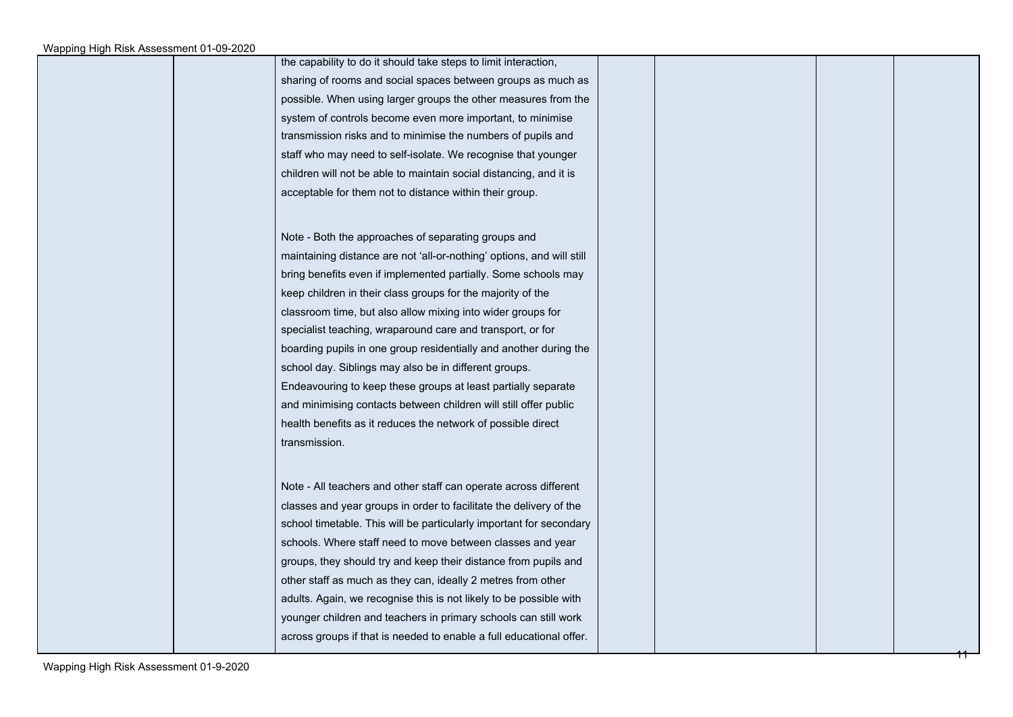|  | the capability to do it should take steps to limit interaction,       |  |  |
|--|-----------------------------------------------------------------------|--|--|
|  | sharing of rooms and social spaces between groups as much as          |  |  |
|  | possible. When using larger groups the other measures from the        |  |  |
|  | system of controls become even more important, to minimise            |  |  |
|  | transmission risks and to minimise the numbers of pupils and          |  |  |
|  | staff who may need to self-isolate. We recognise that younger         |  |  |
|  | children will not be able to maintain social distancing, and it is    |  |  |
|  | acceptable for them not to distance within their group.               |  |  |
|  |                                                                       |  |  |
|  | Note - Both the approaches of separating groups and                   |  |  |
|  | maintaining distance are not 'all-or-nothing' options, and will still |  |  |
|  | bring benefits even if implemented partially. Some schools may        |  |  |
|  | keep children in their class groups for the majority of the           |  |  |
|  | classroom time, but also allow mixing into wider groups for           |  |  |
|  | specialist teaching, wraparound care and transport, or for            |  |  |
|  | boarding pupils in one group residentially and another during the     |  |  |
|  | school day. Siblings may also be in different groups.                 |  |  |
|  | Endeavouring to keep these groups at least partially separate         |  |  |
|  | and minimising contacts between children will still offer public      |  |  |
|  | health benefits as it reduces the network of possible direct          |  |  |
|  | transmission.                                                         |  |  |
|  |                                                                       |  |  |
|  | Note - All teachers and other staff can operate across different      |  |  |
|  | classes and year groups in order to facilitate the delivery of the    |  |  |
|  | school timetable. This will be particularly important for secondary   |  |  |
|  | schools. Where staff need to move between classes and year            |  |  |
|  | groups, they should try and keep their distance from pupils and       |  |  |
|  | other staff as much as they can, ideally 2 metres from other          |  |  |
|  | adults. Again, we recognise this is not likely to be possible with    |  |  |
|  | younger children and teachers in primary schools can still work       |  |  |
|  | across groups if that is needed to enable a full educational offer.   |  |  |
|  |                                                                       |  |  |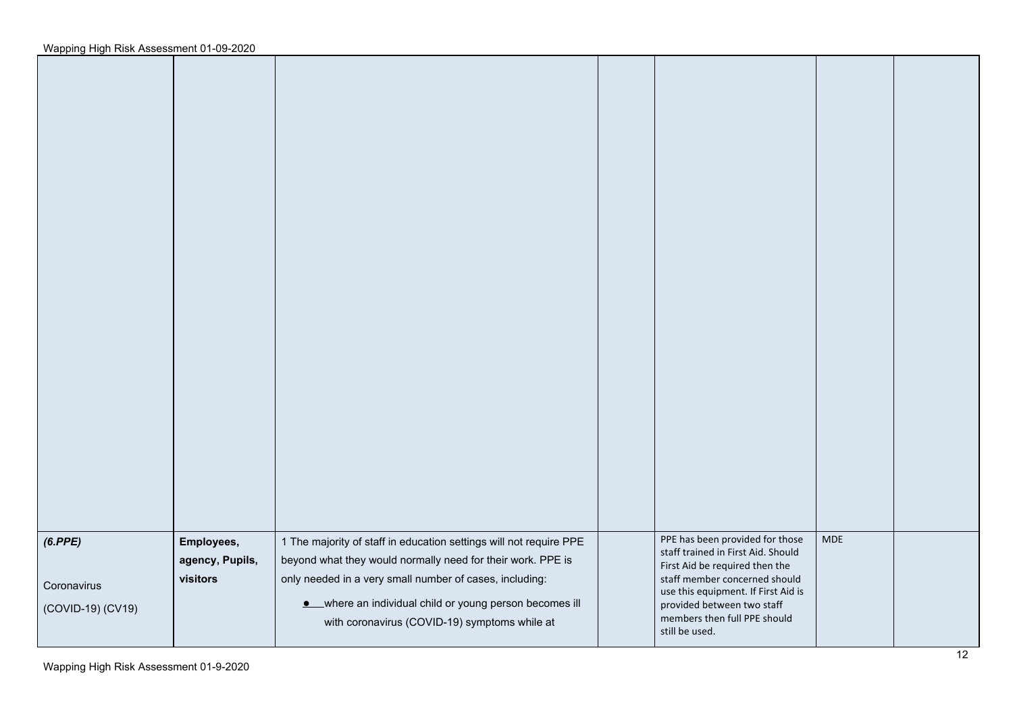| (6.PPE)<br>Coronavirus<br>(COVID-19) (CV19) | Employees,<br>agency, Pupils,<br>visitors | 1 The majority of staff in education settings will not require PPE<br>beyond what they would normally need for their work. PPE is<br>only needed in a very small number of cases, including:<br>• where an individual child or young person becomes ill<br>with coronavirus (COVID-19) symptoms while at | PPE has been provided for those<br>staff trained in First Aid. Should<br>First Aid be required then the<br>staff member concerned should<br>use this equipment. If First Aid is<br>provided between two staff<br>members then full PPE should<br>still be used. | <b>MDE</b> |  |
|---------------------------------------------|-------------------------------------------|----------------------------------------------------------------------------------------------------------------------------------------------------------------------------------------------------------------------------------------------------------------------------------------------------------|-----------------------------------------------------------------------------------------------------------------------------------------------------------------------------------------------------------------------------------------------------------------|------------|--|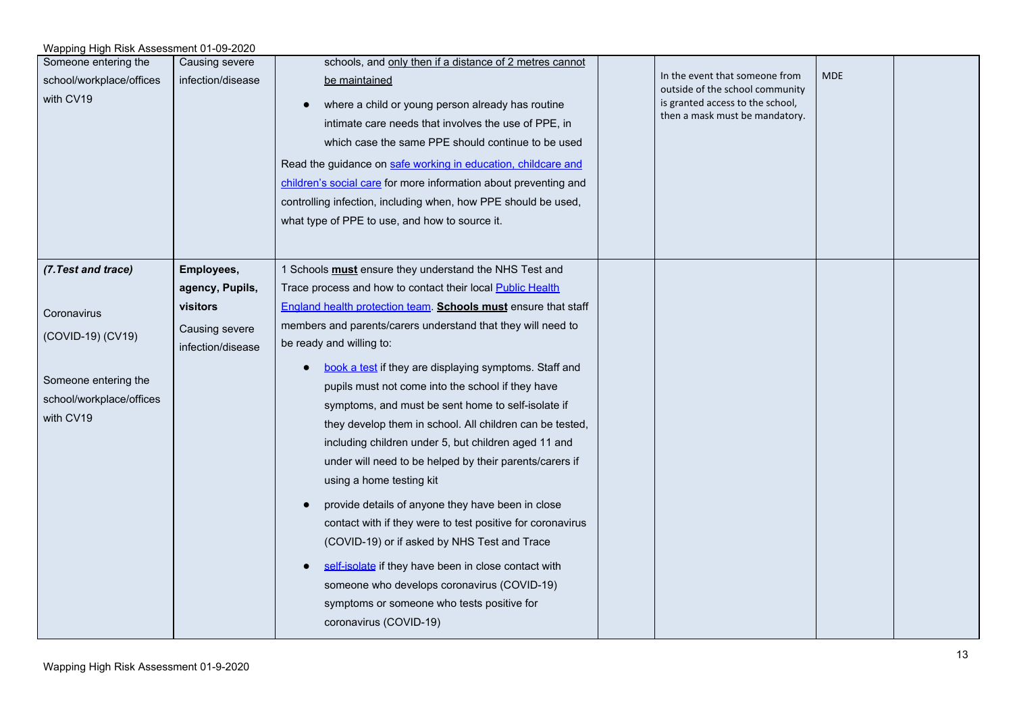| Wapping High Risk Assessment 01-09-2020                       |                   |                                                                                                                                                                                                                                                                                                                                                                                                                                           |  |                                                                                                                                         |            |  |  |  |
|---------------------------------------------------------------|-------------------|-------------------------------------------------------------------------------------------------------------------------------------------------------------------------------------------------------------------------------------------------------------------------------------------------------------------------------------------------------------------------------------------------------------------------------------------|--|-----------------------------------------------------------------------------------------------------------------------------------------|------------|--|--|--|
| Someone entering the                                          | Causing severe    | schools, and only then if a distance of 2 metres cannot                                                                                                                                                                                                                                                                                                                                                                                   |  |                                                                                                                                         |            |  |  |  |
| school/workplace/offices<br>with CV19                         | infection/disease | be maintained<br>where a child or young person already has routine<br>intimate care needs that involves the use of PPE, in<br>which case the same PPE should continue to be used<br>Read the guidance on safe working in education, childcare and<br>children's social care for more information about preventing and<br>controlling infection, including when, how PPE should be used,<br>what type of PPE to use, and how to source it. |  | In the event that someone from<br>outside of the school community<br>is granted access to the school,<br>then a mask must be mandatory. | <b>MDE</b> |  |  |  |
| (7. Test and trace)                                           | Employees,        | 1 Schools must ensure they understand the NHS Test and                                                                                                                                                                                                                                                                                                                                                                                    |  |                                                                                                                                         |            |  |  |  |
|                                                               | agency, Pupils,   | Trace process and how to contact their local Public Health                                                                                                                                                                                                                                                                                                                                                                                |  |                                                                                                                                         |            |  |  |  |
| Coronavirus                                                   | visitors          | England health protection team. Schools must ensure that staff                                                                                                                                                                                                                                                                                                                                                                            |  |                                                                                                                                         |            |  |  |  |
| (COVID-19) (CV19)                                             | Causing severe    | members and parents/carers understand that they will need to                                                                                                                                                                                                                                                                                                                                                                              |  |                                                                                                                                         |            |  |  |  |
|                                                               | infection/disease | be ready and willing to:                                                                                                                                                                                                                                                                                                                                                                                                                  |  |                                                                                                                                         |            |  |  |  |
| Someone entering the<br>school/workplace/offices<br>with CV19 |                   | book a test if they are displaying symptoms. Staff and<br>pupils must not come into the school if they have<br>symptoms, and must be sent home to self-isolate if<br>they develop them in school. All children can be tested,<br>including children under 5, but children aged 11 and<br>under will need to be helped by their parents/carers if<br>using a home testing kit                                                              |  |                                                                                                                                         |            |  |  |  |
|                                                               |                   | provide details of anyone they have been in close<br>contact with if they were to test positive for coronavirus<br>(COVID-19) or if asked by NHS Test and Trace                                                                                                                                                                                                                                                                           |  |                                                                                                                                         |            |  |  |  |
|                                                               |                   | self-isolate if they have been in close contact with<br>someone who develops coronavirus (COVID-19)<br>symptoms or someone who tests positive for<br>coronavirus (COVID-19)                                                                                                                                                                                                                                                               |  |                                                                                                                                         |            |  |  |  |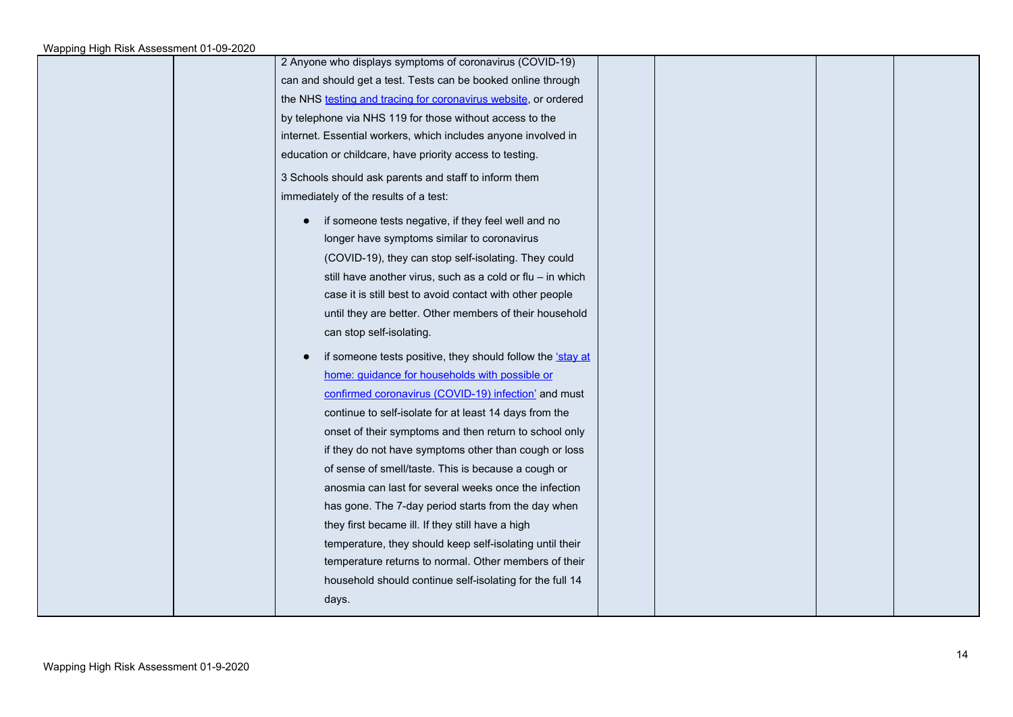| 2 Anyone who displays symptoms of coronavirus (COVID-19)        |  |
|-----------------------------------------------------------------|--|
| can and should get a test. Tests can be booked online through   |  |
| the NHS testing and tracing for coronavirus website, or ordered |  |
| by telephone via NHS 119 for those without access to the        |  |
| internet. Essential workers, which includes anyone involved in  |  |
| education or childcare, have priority access to testing.        |  |
| 3 Schools should ask parents and staff to inform them           |  |
| immediately of the results of a test:                           |  |
| if someone tests negative, if they feel well and no             |  |
| longer have symptoms similar to coronavirus                     |  |
| (COVID-19), they can stop self-isolating. They could            |  |
| still have another virus, such as a cold or flu - in which      |  |
| case it is still best to avoid contact with other people        |  |
| until they are better. Other members of their household         |  |
| can stop self-isolating.                                        |  |
| if someone tests positive, they should follow the 'stay at      |  |
| home: guidance for households with possible or                  |  |
| confirmed coronavirus (COVID-19) infection' and must            |  |
| continue to self-isolate for at least 14 days from the          |  |
| onset of their symptoms and then return to school only          |  |
| if they do not have symptoms other than cough or loss           |  |
| of sense of smell/taste. This is because a cough or             |  |
| anosmia can last for several weeks once the infection           |  |
| has gone. The 7-day period starts from the day when             |  |
| they first became ill. If they still have a high                |  |
| temperature, they should keep self-isolating until their        |  |
| temperature returns to normal. Other members of their           |  |
| household should continue self-isolating for the full 14        |  |
| days.                                                           |  |
|                                                                 |  |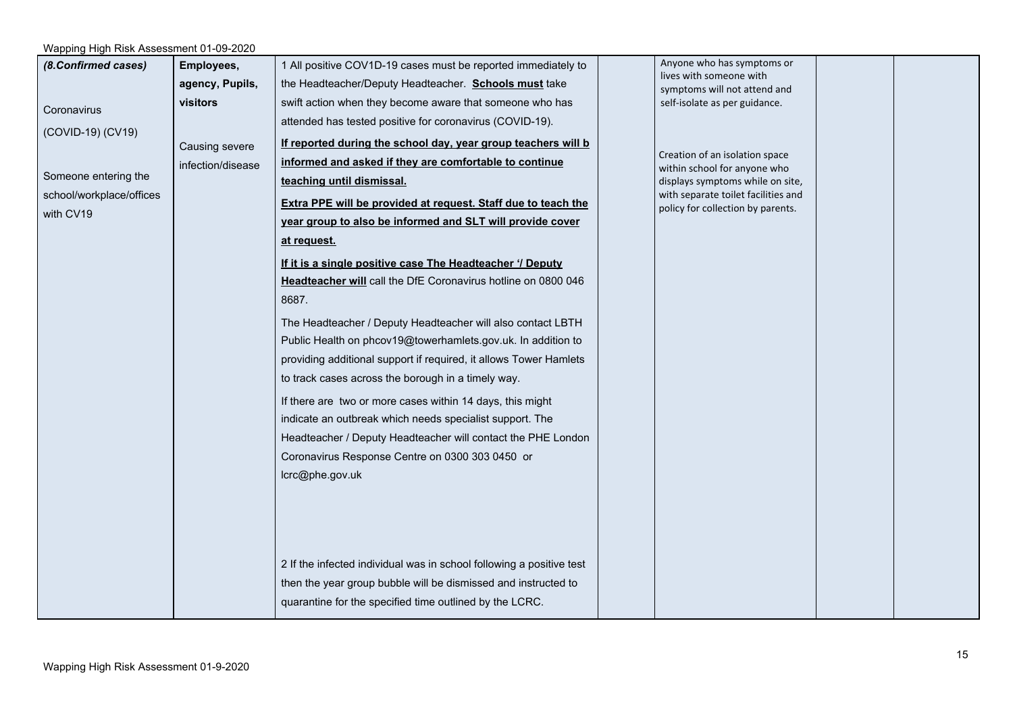| (8.Confirmed cases)<br>Coronavirus<br>(COVID-19) (CV19)<br>Someone entering the<br>school/workplace/offices<br>with CV19 | Employees,<br>agency, Pupils,<br>visitors<br>Causing severe<br>infection/disease | 1 All positive COV1D-19 cases must be reported immediately to<br>the Headteacher/Deputy Headteacher. Schools must take<br>swift action when they become aware that someone who has<br>attended has tested positive for coronavirus (COVID-19).<br>If reported during the school day, year group teachers will b<br>informed and asked if they are comfortable to continue<br>teaching until dismissal.<br>Extra PPE will be provided at request. Staff due to teach the<br>year group to also be informed and SLT will provide cover<br>at request.<br>If it is a single positive case The Headteacher '/ Deputy<br>Headteacher will call the DfE Coronavirus hotline on 0800 046<br>8687.<br>The Headteacher / Deputy Headteacher will also contact LBTH<br>Public Health on phcov19@towerhamlets.gov.uk. In addition to | Anyone who has symptoms or<br>lives with someone with<br>symptoms will not attend and<br>self-isolate as per guidance.<br>Creation of an isolation space<br>within school for anyone who<br>displays symptoms while on site,<br>with separate toilet facilities and<br>policy for collection by parents. |  |
|--------------------------------------------------------------------------------------------------------------------------|----------------------------------------------------------------------------------|---------------------------------------------------------------------------------------------------------------------------------------------------------------------------------------------------------------------------------------------------------------------------------------------------------------------------------------------------------------------------------------------------------------------------------------------------------------------------------------------------------------------------------------------------------------------------------------------------------------------------------------------------------------------------------------------------------------------------------------------------------------------------------------------------------------------------|----------------------------------------------------------------------------------------------------------------------------------------------------------------------------------------------------------------------------------------------------------------------------------------------------------|--|
|                                                                                                                          |                                                                                  | to track cases across the borough in a timely way.<br>If there are two or more cases within 14 days, this might<br>indicate an outbreak which needs specialist support. The<br>Headteacher / Deputy Headteacher will contact the PHE London<br>Coronavirus Response Centre on 0300 303 0450 or<br>lcrc@phe.gov.uk<br>2 If the infected individual was in school following a positive test<br>then the year group bubble will be dismissed and instructed to<br>quarantine for the specified time outlined by the LCRC.                                                                                                                                                                                                                                                                                                    |                                                                                                                                                                                                                                                                                                          |  |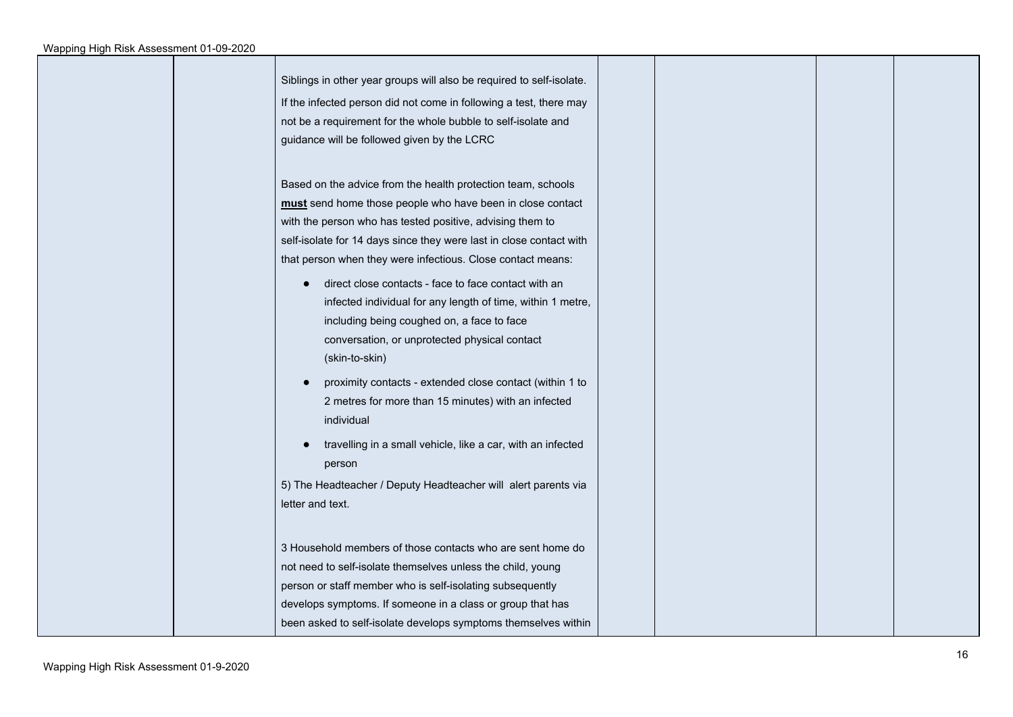| Siblings in other year groups will also be required to self-isolate. |  |  |
|----------------------------------------------------------------------|--|--|
| If the infected person did not come in following a test, there may   |  |  |
| not be a requirement for the whole bubble to self-isolate and        |  |  |
| guidance will be followed given by the LCRC                          |  |  |
|                                                                      |  |  |
| Based on the advice from the health protection team, schools         |  |  |
| must send home those people who have been in close contact           |  |  |
| with the person who has tested positive, advising them to            |  |  |
| self-isolate for 14 days since they were last in close contact with  |  |  |
| that person when they were infectious. Close contact means:          |  |  |
| direct close contacts - face to face contact with an                 |  |  |
| infected individual for any length of time, within 1 metre,          |  |  |
| including being coughed on, a face to face                           |  |  |
| conversation, or unprotected physical contact                        |  |  |
| (skin-to-skin)                                                       |  |  |
| proximity contacts - extended close contact (within 1 to             |  |  |
| 2 metres for more than 15 minutes) with an infected                  |  |  |
| individual                                                           |  |  |
|                                                                      |  |  |
| travelling in a small vehicle, like a car, with an infected          |  |  |
| person                                                               |  |  |
| 5) The Headteacher / Deputy Headteacher will alert parents via       |  |  |
| letter and text.                                                     |  |  |
|                                                                      |  |  |
| 3 Household members of those contacts who are sent home do           |  |  |
| not need to self-isolate themselves unless the child, young          |  |  |
| person or staff member who is self-isolating subsequently            |  |  |
| develops symptoms. If someone in a class or group that has           |  |  |
| been asked to self-isolate develops symptoms themselves within       |  |  |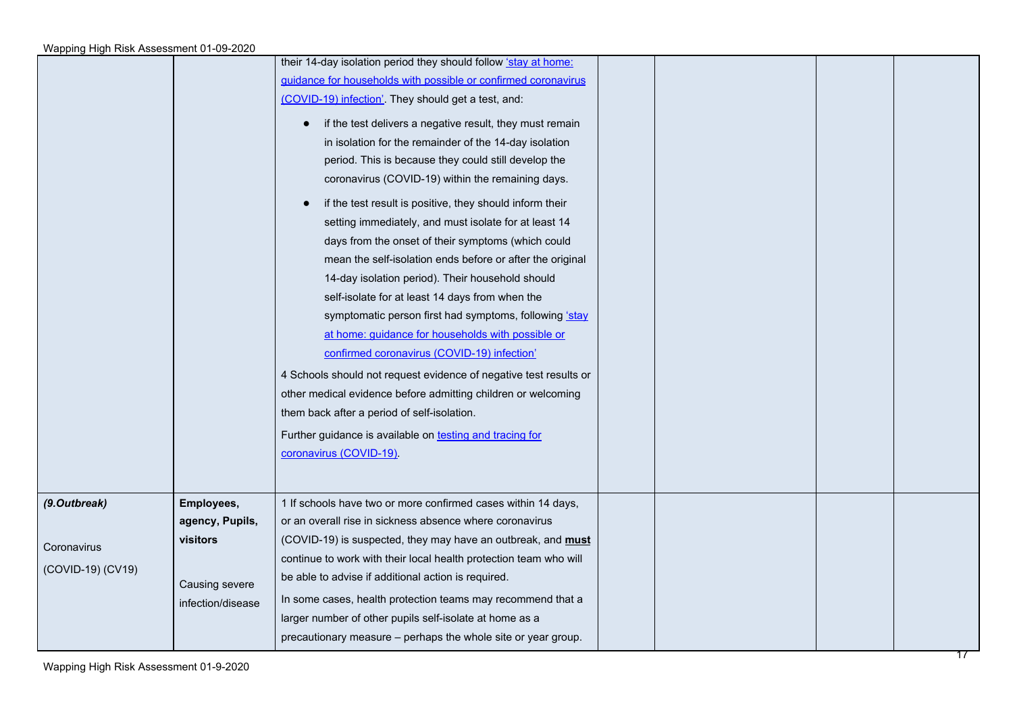|                   |                             | their 14-day isolation period they should follow stay at home:<br>guidance for households with possible or confirmed coronavirus<br>(COVID-19) infection'. They should get a test, and:<br>if the test delivers a negative result, they must remain<br>$\bullet$<br>in isolation for the remainder of the 14-day isolation<br>period. This is because they could still develop the<br>coronavirus (COVID-19) within the remaining days.<br>if the test result is positive, they should inform their<br>$\bullet$<br>setting immediately, and must isolate for at least 14<br>days from the onset of their symptoms (which could<br>mean the self-isolation ends before or after the original<br>14-day isolation period). Their household should<br>self-isolate for at least 14 days from when the<br>symptomatic person first had symptoms, following 'stay<br>at home: guidance for households with possible or<br>confirmed coronavirus (COVID-19) infection'<br>4 Schools should not request evidence of negative test results or<br>other medical evidence before admitting children or welcoming<br>them back after a period of self-isolation.<br>Further guidance is available on testing and tracing for<br>coronavirus (COVID-19). |  |  |
|-------------------|-----------------------------|-----------------------------------------------------------------------------------------------------------------------------------------------------------------------------------------------------------------------------------------------------------------------------------------------------------------------------------------------------------------------------------------------------------------------------------------------------------------------------------------------------------------------------------------------------------------------------------------------------------------------------------------------------------------------------------------------------------------------------------------------------------------------------------------------------------------------------------------------------------------------------------------------------------------------------------------------------------------------------------------------------------------------------------------------------------------------------------------------------------------------------------------------------------------------------------------------------------------------------------------------|--|--|
| (9.Outbreak)      | Employees,                  | 1 If schools have two or more confirmed cases within 14 days,                                                                                                                                                                                                                                                                                                                                                                                                                                                                                                                                                                                                                                                                                                                                                                                                                                                                                                                                                                                                                                                                                                                                                                                 |  |  |
|                   | agency, Pupils,<br>visitors | or an overall rise in sickness absence where coronavirus<br>(COVID-19) is suspected, they may have an outbreak, and <b>must</b>                                                                                                                                                                                                                                                                                                                                                                                                                                                                                                                                                                                                                                                                                                                                                                                                                                                                                                                                                                                                                                                                                                               |  |  |
| Coronavirus       |                             | continue to work with their local health protection team who will                                                                                                                                                                                                                                                                                                                                                                                                                                                                                                                                                                                                                                                                                                                                                                                                                                                                                                                                                                                                                                                                                                                                                                             |  |  |
| (COVID-19) (CV19) | Causing severe              | be able to advise if additional action is required.                                                                                                                                                                                                                                                                                                                                                                                                                                                                                                                                                                                                                                                                                                                                                                                                                                                                                                                                                                                                                                                                                                                                                                                           |  |  |
|                   | infection/disease           | In some cases, health protection teams may recommend that a                                                                                                                                                                                                                                                                                                                                                                                                                                                                                                                                                                                                                                                                                                                                                                                                                                                                                                                                                                                                                                                                                                                                                                                   |  |  |
|                   |                             | larger number of other pupils self-isolate at home as a                                                                                                                                                                                                                                                                                                                                                                                                                                                                                                                                                                                                                                                                                                                                                                                                                                                                                                                                                                                                                                                                                                                                                                                       |  |  |
|                   |                             | precautionary measure - perhaps the whole site or year group.                                                                                                                                                                                                                                                                                                                                                                                                                                                                                                                                                                                                                                                                                                                                                                                                                                                                                                                                                                                                                                                                                                                                                                                 |  |  |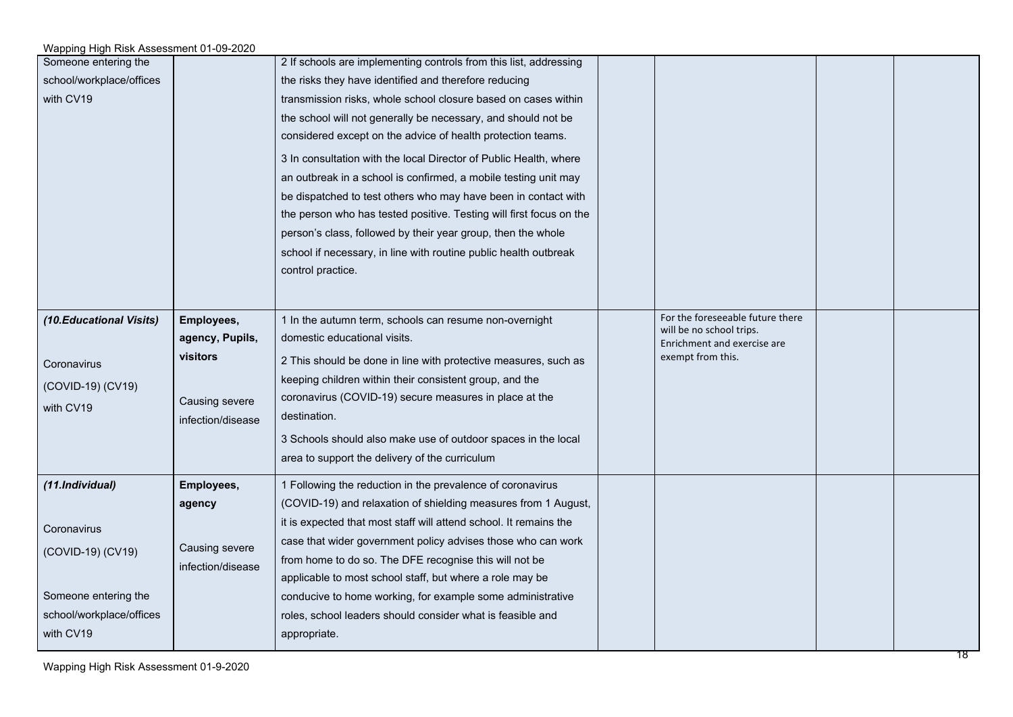| Someone entering the<br>school/workplace/offices<br>with CV19                                                        |                                                                                         | 2 If schools are implementing controls from this list, addressing<br>the risks they have identified and therefore reducing<br>transmission risks, whole school closure based on cases within<br>the school will not generally be necessary, and should not be<br>considered except on the advice of health protection teams.<br>3 In consultation with the local Director of Public Health, where<br>an outbreak in a school is confirmed, a mobile testing unit may<br>be dispatched to test others who may have been in contact with<br>the person who has tested positive. Testing will first focus on the<br>person's class, followed by their year group, then the whole<br>school if necessary, in line with routine public health outbreak<br>control practice. |                                                                                                                  |  |
|----------------------------------------------------------------------------------------------------------------------|-----------------------------------------------------------------------------------------|------------------------------------------------------------------------------------------------------------------------------------------------------------------------------------------------------------------------------------------------------------------------------------------------------------------------------------------------------------------------------------------------------------------------------------------------------------------------------------------------------------------------------------------------------------------------------------------------------------------------------------------------------------------------------------------------------------------------------------------------------------------------|------------------------------------------------------------------------------------------------------------------|--|
| (10. Educational Visits)<br>Coronavirus<br>(COVID-19) (CV19)<br>with CV19                                            | Employees,<br>agency, Pupils,<br><b>visitors</b><br>Causing severe<br>infection/disease | 1 In the autumn term, schools can resume non-overnight<br>domestic educational visits.<br>2 This should be done in line with protective measures, such as<br>keeping children within their consistent group, and the<br>coronavirus (COVID-19) secure measures in place at the<br>destination.<br>3 Schools should also make use of outdoor spaces in the local<br>area to support the delivery of the curriculum                                                                                                                                                                                                                                                                                                                                                      | For the foreseeable future there<br>will be no school trips.<br>Enrichment and exercise are<br>exempt from this. |  |
| (11.Individual)<br>Coronavirus<br>(COVID-19) (CV19)<br>Someone entering the<br>school/workplace/offices<br>with CV19 | Employees,<br>agency<br>Causing severe<br>infection/disease                             | 1 Following the reduction in the prevalence of coronavirus<br>(COVID-19) and relaxation of shielding measures from 1 August,<br>it is expected that most staff will attend school. It remains the<br>case that wider government policy advises those who can work<br>from home to do so. The DFE recognise this will not be<br>applicable to most school staff, but where a role may be<br>conducive to home working, for example some administrative<br>roles, school leaders should consider what is feasible and<br>appropriate.                                                                                                                                                                                                                                    |                                                                                                                  |  |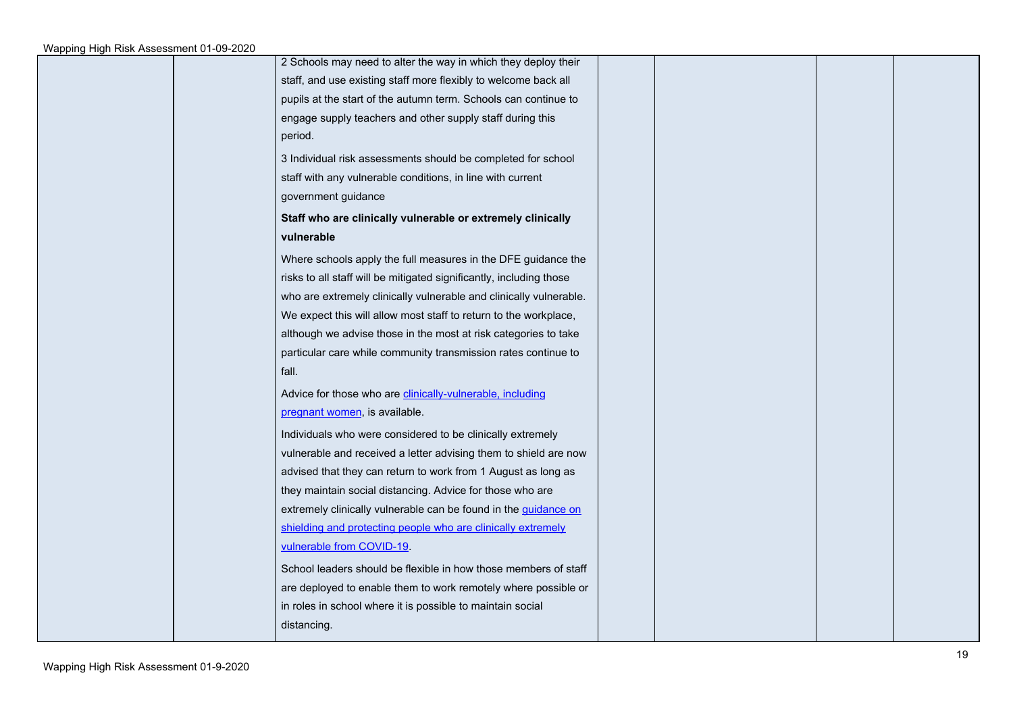| 2 Schools may need to alter the way in which they deploy their         |  |
|------------------------------------------------------------------------|--|
| staff, and use existing staff more flexibly to welcome back all        |  |
| pupils at the start of the autumn term. Schools can continue to        |  |
| engage supply teachers and other supply staff during this              |  |
| period.                                                                |  |
| 3 Individual risk assessments should be completed for school           |  |
| staff with any vulnerable conditions, in line with current             |  |
| government guidance                                                    |  |
| Staff who are clinically vulnerable or extremely clinically            |  |
| vulnerable                                                             |  |
| Where schools apply the full measures in the DFE guidance the          |  |
| risks to all staff will be mitigated significantly, including those    |  |
| who are extremely clinically vulnerable and clinically vulnerable.     |  |
| We expect this will allow most staff to return to the workplace,       |  |
| although we advise those in the most at risk categories to take        |  |
| particular care while community transmission rates continue to         |  |
| fall.                                                                  |  |
| Advice for those who are clinically-vulnerable, including              |  |
| pregnant women, is available.                                          |  |
| Individuals who were considered to be clinically extremely             |  |
| vulnerable and received a letter advising them to shield are now       |  |
| advised that they can return to work from 1 August as long as          |  |
| they maintain social distancing. Advice for those who are              |  |
| extremely clinically vulnerable can be found in the <i>guidance</i> on |  |
| shielding and protecting people who are clinically extremely           |  |
| vulnerable from COVID-19                                               |  |
| School leaders should be flexible in how those members of staff        |  |
| are deployed to enable them to work remotely where possible or         |  |
| in roles in school where it is possible to maintain social             |  |
| distancing.                                                            |  |
|                                                                        |  |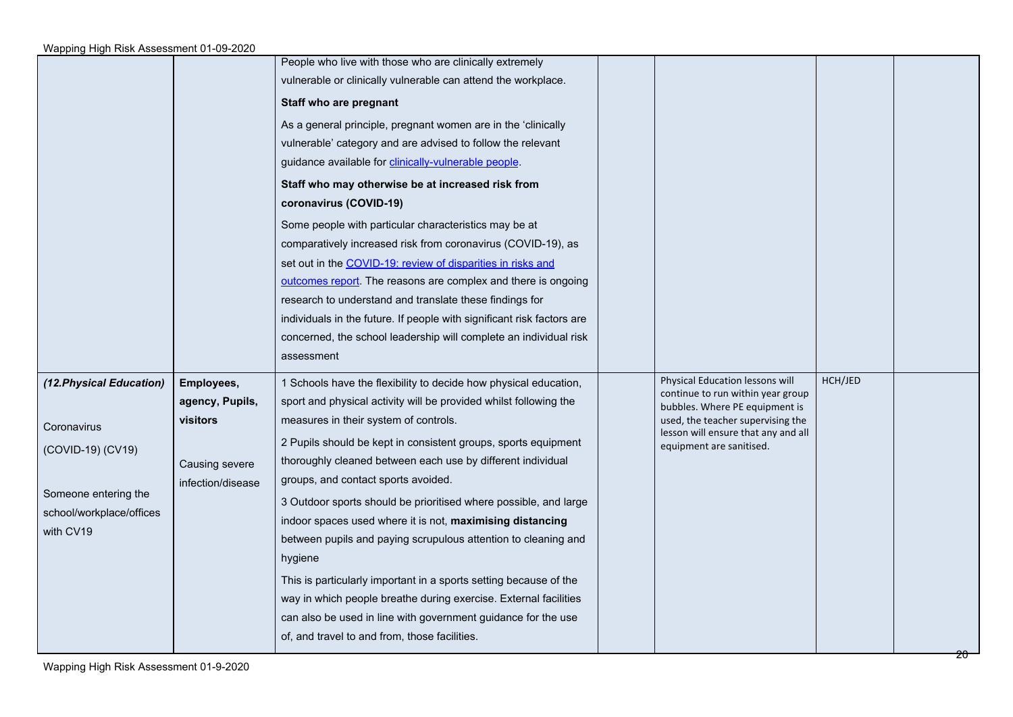|                                                                                                                               |                                                                                  | People who live with those who are clinically extremely<br>vulnerable or clinically vulnerable can attend the workplace.<br>Staff who are pregnant<br>As a general principle, pregnant women are in the 'clinically<br>vulnerable' category and are advised to follow the relevant<br>guidance available for clinically-vulnerable people.<br>Staff who may otherwise be at increased risk from<br>coronavirus (COVID-19)<br>Some people with particular characteristics may be at<br>comparatively increased risk from coronavirus (COVID-19), as<br>set out in the COVID-19: review of disparities in risks and<br>outcomes report. The reasons are complex and there is ongoing<br>research to understand and translate these findings for<br>individuals in the future. If people with significant risk factors are<br>concerned, the school leadership will complete an individual risk<br>assessment |                                                                                                                                                                                                                |         |  |
|-------------------------------------------------------------------------------------------------------------------------------|----------------------------------------------------------------------------------|------------------------------------------------------------------------------------------------------------------------------------------------------------------------------------------------------------------------------------------------------------------------------------------------------------------------------------------------------------------------------------------------------------------------------------------------------------------------------------------------------------------------------------------------------------------------------------------------------------------------------------------------------------------------------------------------------------------------------------------------------------------------------------------------------------------------------------------------------------------------------------------------------------|----------------------------------------------------------------------------------------------------------------------------------------------------------------------------------------------------------------|---------|--|
| (12. Physical Education)<br>Coronavirus<br>(COVID-19) (CV19)<br>Someone entering the<br>school/workplace/offices<br>with CV19 | Employees,<br>agency, Pupils,<br>visitors<br>Causing severe<br>infection/disease | 1 Schools have the flexibility to decide how physical education,<br>sport and physical activity will be provided whilst following the<br>measures in their system of controls.<br>2 Pupils should be kept in consistent groups, sports equipment<br>thoroughly cleaned between each use by different individual<br>groups, and contact sports avoided.<br>3 Outdoor sports should be prioritised where possible, and large<br>indoor spaces used where it is not, maximising distancing<br>between pupils and paying scrupulous attention to cleaning and<br>hygiene<br>This is particularly important in a sports setting because of the<br>way in which people breathe during exercise. External facilities<br>can also be used in line with government guidance for the use<br>of, and travel to and from, those facilities.                                                                            | Physical Education lessons will<br>continue to run within year group<br>bubbles. Where PE equipment is<br>used, the teacher supervising the<br>lesson will ensure that any and all<br>equipment are sanitised. | HCH/JED |  |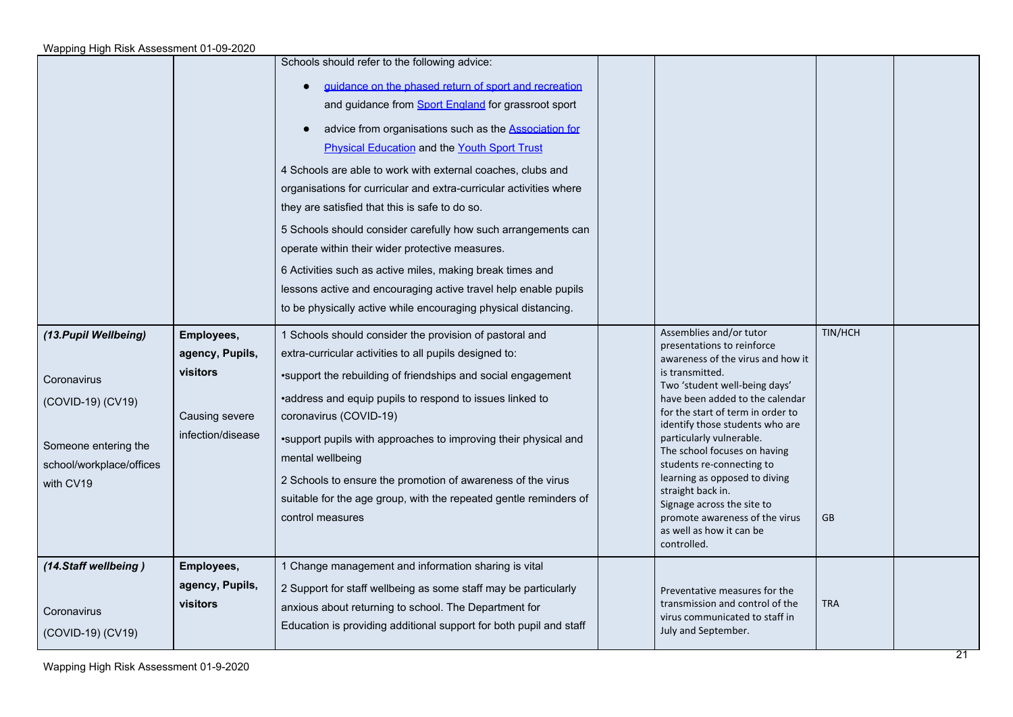|                                                                                                                            |                                                                                  | Schools should refer to the following advice:<br>guidance on the phased return of sport and recreation<br>and guidance from Sport England for grassroot sport<br>advice from organisations such as the Association for<br><b>Physical Education and the Youth Sport Trust</b><br>4 Schools are able to work with external coaches, clubs and<br>organisations for curricular and extra-curricular activities where<br>they are satisfied that this is safe to do so.<br>5 Schools should consider carefully how such arrangements can<br>operate within their wider protective measures.<br>6 Activities such as active miles, making break times and<br>lessons active and encouraging active travel help enable pupils<br>to be physically active while encouraging physical distancing. |                                                                                                                                                                                                                                                                                                                                                                                                                                                                                                                     |               |  |
|----------------------------------------------------------------------------------------------------------------------------|----------------------------------------------------------------------------------|--------------------------------------------------------------------------------------------------------------------------------------------------------------------------------------------------------------------------------------------------------------------------------------------------------------------------------------------------------------------------------------------------------------------------------------------------------------------------------------------------------------------------------------------------------------------------------------------------------------------------------------------------------------------------------------------------------------------------------------------------------------------------------------------|---------------------------------------------------------------------------------------------------------------------------------------------------------------------------------------------------------------------------------------------------------------------------------------------------------------------------------------------------------------------------------------------------------------------------------------------------------------------------------------------------------------------|---------------|--|
| (13. Pupil Wellbeing)<br>Coronavirus<br>(COVID-19) (CV19)<br>Someone entering the<br>school/workplace/offices<br>with CV19 | Employees,<br>agency, Pupils,<br>visitors<br>Causing severe<br>infection/disease | 1 Schools should consider the provision of pastoral and<br>extra-curricular activities to all pupils designed to:<br>.support the rebuilding of friendships and social engagement<br>•address and equip pupils to respond to issues linked to<br>coronavirus (COVID-19)<br>•support pupils with approaches to improving their physical and<br>mental wellbeing<br>2 Schools to ensure the promotion of awareness of the virus<br>suitable for the age group, with the repeated gentle reminders of<br>control measures                                                                                                                                                                                                                                                                     | Assemblies and/or tutor<br>presentations to reinforce<br>awareness of the virus and how it<br>is transmitted.<br>Two 'student well-being days'<br>have been added to the calendar<br>for the start of term in order to<br>identify those students who are<br>particularly vulnerable.<br>The school focuses on having<br>students re-connecting to<br>learning as opposed to diving<br>straight back in.<br>Signage across the site to<br>promote awareness of the virus<br>as well as how it can be<br>controlled. | TIN/HCH<br>GB |  |
| (14.Staff wellbeing)<br>Coronavirus<br>(COVID-19) (CV19)                                                                   | Employees,<br>agency, Pupils,<br>visitors                                        | 1 Change management and information sharing is vital<br>2 Support for staff wellbeing as some staff may be particularly<br>anxious about returning to school. The Department for<br>Education is providing additional support for both pupil and staff                                                                                                                                                                                                                                                                                                                                                                                                                                                                                                                                     | Preventative measures for the<br>transmission and control of the<br>virus communicated to staff in<br>July and September.                                                                                                                                                                                                                                                                                                                                                                                           | <b>TRA</b>    |  |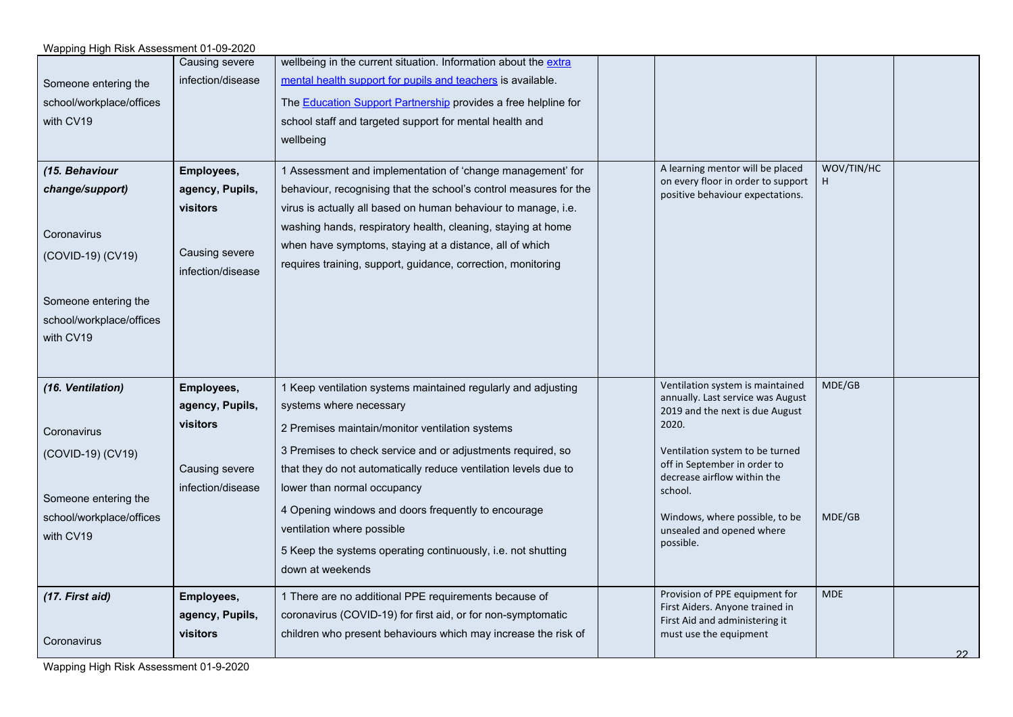| Wapping High Risk Assessment 01-09-2020 |                       |                                                                       |                                                                        |                  |    |
|-----------------------------------------|-----------------------|-----------------------------------------------------------------------|------------------------------------------------------------------------|------------------|----|
|                                         | <b>Causing severe</b> | wellbeing in the current situation. Information about the extra       |                                                                        |                  |    |
| Someone entering the                    | infection/disease     | mental health support for pupils and teachers is available.           |                                                                        |                  |    |
| school/workplace/offices                |                       | The <b>Education Support Partnership</b> provides a free helpline for |                                                                        |                  |    |
| with CV19                               |                       | school staff and targeted support for mental health and               |                                                                        |                  |    |
|                                         |                       | wellbeing                                                             |                                                                        |                  |    |
|                                         |                       |                                                                       |                                                                        |                  |    |
| (15. Behaviour                          | Employees,            | 1 Assessment and implementation of 'change management' for            | A learning mentor will be placed<br>on every floor in order to support | WOV/TIN/HC<br>H. |    |
| change/support)                         | agency, Pupils,       | behaviour, recognising that the school's control measures for the     | positive behaviour expectations.                                       |                  |    |
|                                         | visitors              | virus is actually all based on human behaviour to manage, i.e.        |                                                                        |                  |    |
| Coronavirus                             |                       | washing hands, respiratory health, cleaning, staying at home          |                                                                        |                  |    |
|                                         | Causing severe        | when have symptoms, staying at a distance, all of which               |                                                                        |                  |    |
| (COVID-19) (CV19)                       | infection/disease     | requires training, support, guidance, correction, monitoring          |                                                                        |                  |    |
|                                         |                       |                                                                       |                                                                        |                  |    |
| Someone entering the                    |                       |                                                                       |                                                                        |                  |    |
| school/workplace/offices                |                       |                                                                       |                                                                        |                  |    |
| with CV19                               |                       |                                                                       |                                                                        |                  |    |
|                                         |                       |                                                                       |                                                                        |                  |    |
|                                         |                       |                                                                       |                                                                        |                  |    |
| (16. Ventilation)                       | Employees,            | 1 Keep ventilation systems maintained regularly and adjusting         | Ventilation system is maintained<br>annually. Last service was August  | MDE/GB           |    |
|                                         | agency, Pupils,       | systems where necessary                                               | 2019 and the next is due August                                        |                  |    |
| Coronavirus                             | <b>visitors</b>       | 2 Premises maintain/monitor ventilation systems                       | 2020.                                                                  |                  |    |
| (COVID-19) (CV19)                       |                       | 3 Premises to check service and or adjustments required, so           | Ventilation system to be turned                                        |                  |    |
|                                         | Causing severe        | that they do not automatically reduce ventilation levels due to       | off in September in order to                                           |                  |    |
|                                         | infection/disease     | lower than normal occupancy                                           | decrease airflow within the<br>school.                                 |                  |    |
| Someone entering the                    |                       | 4 Opening windows and doors frequently to encourage                   |                                                                        |                  |    |
| school/workplace/offices                |                       | ventilation where possible                                            | Windows, where possible, to be<br>unsealed and opened where            | MDE/GB           |    |
| with CV19                               |                       |                                                                       | possible.                                                              |                  |    |
|                                         |                       | 5 Keep the systems operating continuously, i.e. not shutting          |                                                                        |                  |    |
|                                         |                       | down at weekends                                                      |                                                                        |                  |    |
| (17. First aid)                         | Employees,            | 1 There are no additional PPE requirements because of                 | Provision of PPE equipment for                                         | <b>MDE</b>       |    |
|                                         | agency, Pupils,       | coronavirus (COVID-19) for first aid, or for non-symptomatic          | First Aiders. Anyone trained in<br>First Aid and administering it      |                  |    |
|                                         | visitors              | children who present behaviours which may increase the risk of        | must use the equipment                                                 |                  |    |
| Coronavirus                             |                       |                                                                       |                                                                        |                  | 22 |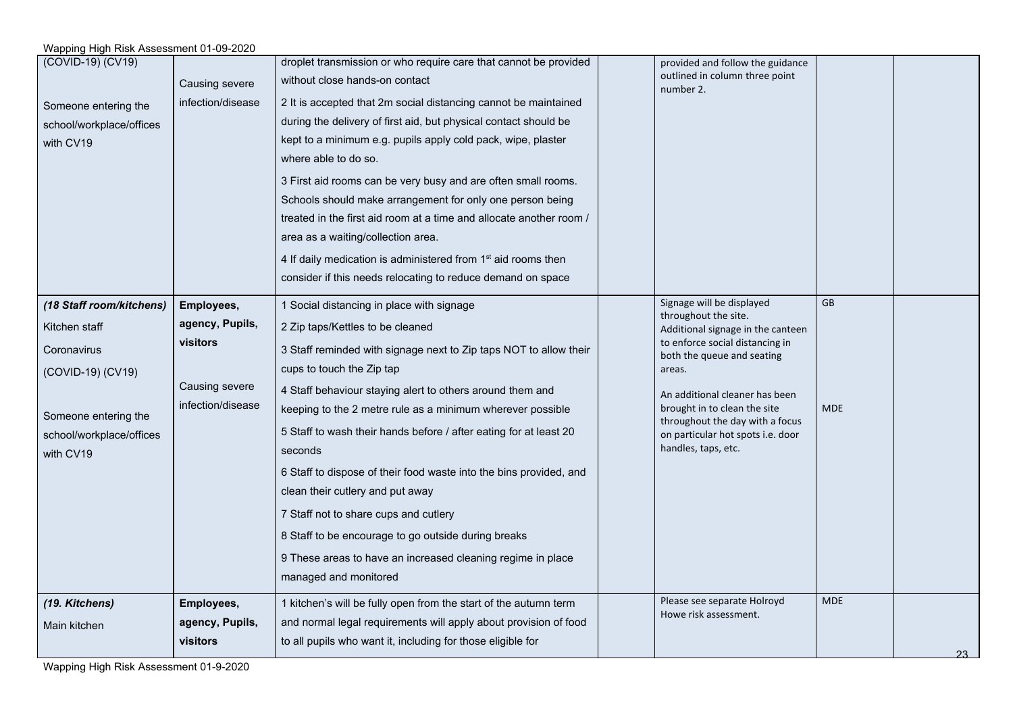| Wapping High Risk Assessment 01-09-2020 |                   |                                                                                                    |                                                                                 |            |       |
|-----------------------------------------|-------------------|----------------------------------------------------------------------------------------------------|---------------------------------------------------------------------------------|------------|-------|
| (COVID-19) (CV19)                       | Causing severe    | droplet transmission or who require care that cannot be provided<br>without close hands-on contact | provided and follow the guidance<br>outlined in column three point<br>number 2. |            |       |
| Someone entering the                    | infection/disease | 2 It is accepted that 2m social distancing cannot be maintained                                    |                                                                                 |            |       |
| school/workplace/offices                |                   | during the delivery of first aid, but physical contact should be                                   |                                                                                 |            |       |
| with CV19                               |                   | kept to a minimum e.g. pupils apply cold pack, wipe, plaster                                       |                                                                                 |            |       |
|                                         |                   | where able to do so.                                                                               |                                                                                 |            |       |
|                                         |                   | 3 First aid rooms can be very busy and are often small rooms.                                      |                                                                                 |            |       |
|                                         |                   | Schools should make arrangement for only one person being                                          |                                                                                 |            |       |
|                                         |                   | treated in the first aid room at a time and allocate another room /                                |                                                                                 |            |       |
|                                         |                   | area as a waiting/collection area.                                                                 |                                                                                 |            |       |
|                                         |                   | 4 If daily medication is administered from 1 <sup>st</sup> aid rooms then                          |                                                                                 |            |       |
|                                         |                   | consider if this needs relocating to reduce demand on space                                        |                                                                                 |            |       |
| (18 Staff room/kitchens)                | Employees,        | 1 Social distancing in place with signage                                                          | Signage will be displayed                                                       | GB         |       |
| Kitchen staff                           | agency, Pupils,   | 2 Zip taps/Kettles to be cleaned                                                                   | throughout the site.<br>Additional signage in the canteen                       |            |       |
| Coronavirus                             | visitors          | 3 Staff reminded with signage next to Zip taps NOT to allow their                                  | to enforce social distancing in                                                 |            |       |
|                                         |                   | cups to touch the Zip tap                                                                          | both the queue and seating<br>areas.                                            |            |       |
| (COVID-19) (CV19)                       | Causing severe    | 4 Staff behaviour staying alert to others around them and                                          |                                                                                 |            |       |
|                                         | infection/disease | keeping to the 2 metre rule as a minimum wherever possible                                         | An additional cleaner has been<br>brought in to clean the site                  | <b>MDE</b> |       |
| Someone entering the                    |                   |                                                                                                    | throughout the day with a focus                                                 |            |       |
| school/workplace/offices                |                   | 5 Staff to wash their hands before / after eating for at least 20<br>seconds                       | on particular hot spots i.e. door<br>handles, taps, etc.                        |            |       |
| with CV19                               |                   |                                                                                                    |                                                                                 |            |       |
|                                         |                   | 6 Staff to dispose of their food waste into the bins provided, and                                 |                                                                                 |            |       |
|                                         |                   | clean their cutlery and put away                                                                   |                                                                                 |            |       |
|                                         |                   | 7 Staff not to share cups and cutlery                                                              |                                                                                 |            |       |
|                                         |                   | 8 Staff to be encourage to go outside during breaks                                                |                                                                                 |            |       |
|                                         |                   | 9 These areas to have an increased cleaning regime in place                                        |                                                                                 |            |       |
|                                         |                   | managed and monitored                                                                              |                                                                                 |            |       |
| (19. Kitchens)                          | Employees,        | 1 kitchen's will be fully open from the start of the autumn term                                   | Please see separate Holroyd                                                     | <b>MDE</b> |       |
| Main kitchen                            | agency, Pupils,   | and normal legal requirements will apply about provision of food                                   | Howe risk assessment.                                                           |            |       |
|                                         | <b>visitors</b>   | to all pupils who want it, including for those eligible for                                        |                                                                                 |            | $23-$ |
|                                         |                   |                                                                                                    |                                                                                 |            |       |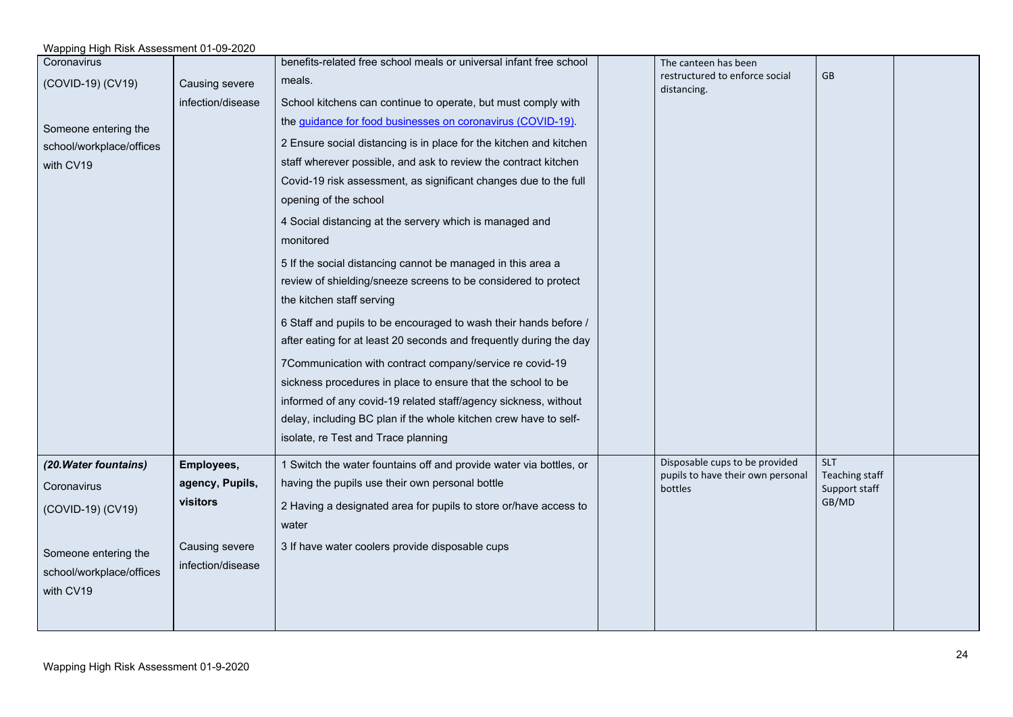#### Wapping High Risk Assessment 01-09-2020 Coronavirus (COVID-19) (CV19) Someone entering the school/workplace/offices with CV19 Causing severe infection/disease benefits-related free school meals or universal infant free school meals. School kitchens can continue to operate, but must comply with the [guidance for food businesses on coronavirus \(COVID-19\).](https://www.gov.uk/government/publications/covid-19-guidance-for-food-businesses/guidance-for-food-businesses-on-coronavirus-covid-19) 2 Ensure social distancing is in place for the kitchen and kitchen staff wherever possible, and ask to review the contract kitchen Covid-19 risk assessment, as significant changes due to the full opening of the school 4 Social distancing at the servery which is managed and monitored 5 If the social distancing cannot be managed in this area a review of shielding/sneeze screens to be considered to protect the kitchen staff serving 6 Staff and pupils to be encouraged to wash their hands before / after eating for at least 20 seconds and frequently during the day 7Communication with contract company/service re covid-19 sickness procedures in place to ensure that the school to be informed of any covid-19 related staff/agency sickness, without delay, including BC plan if the whole kitchen crew have to selfisolate, re Test and Trace planning The canteen has been restructured to enforce social distancing. GB *(20.Water fountains)* **Coronavirus** (COVID-19) (CV19) Someone entering the school/workplace/offices with CV19 **Employees, agency, Pupils, visitors** Causing severe infection/disease 1 Switch the water fountains off and provide water via bottles, or having the pupils use their own personal bottle 2 Having a designated area for pupils to store or/have access to water 3 If have water coolers provide disposable cups Disposable cups to be provided pupils to have their own personal bottles SLT Teaching staff Support staff GB/MD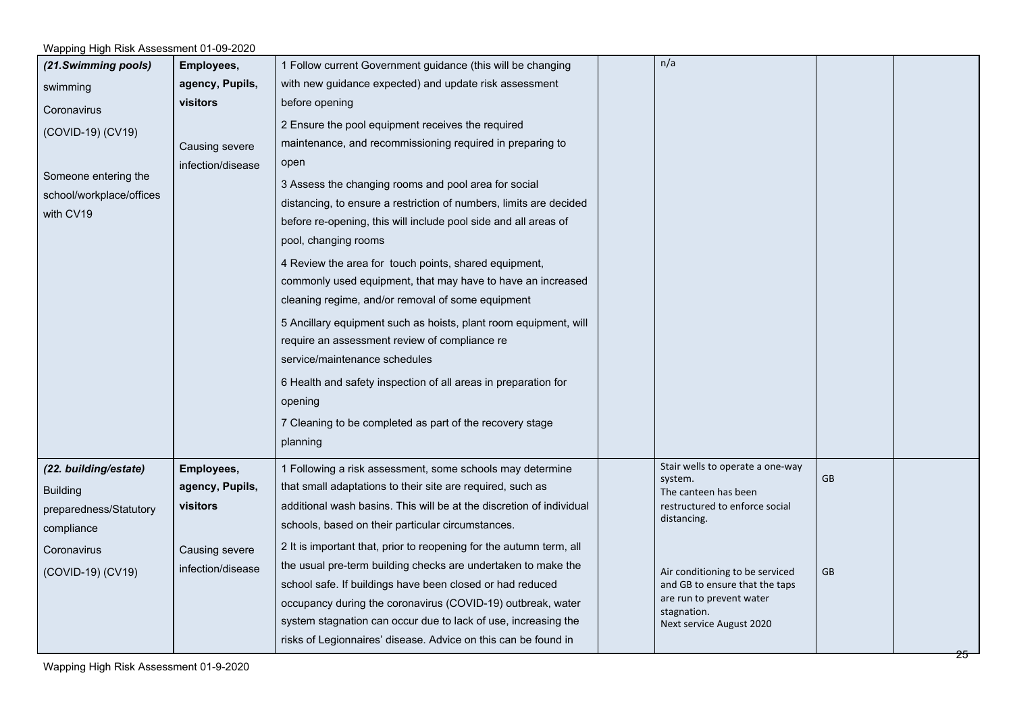| (21.Swimming pools)      | Employees,        | 1 Follow current Government guidance (this will be changing          | n/a                                     |           |  |
|--------------------------|-------------------|----------------------------------------------------------------------|-----------------------------------------|-----------|--|
| swimming                 | agency, Pupils,   | with new guidance expected) and update risk assessment               |                                         |           |  |
| Coronavirus              | <b>visitors</b>   | before opening                                                       |                                         |           |  |
| (COVID-19) (CV19)        |                   | 2 Ensure the pool equipment receives the required                    |                                         |           |  |
|                          | Causing severe    | maintenance, and recommissioning required in preparing to            |                                         |           |  |
|                          | infection/disease | open                                                                 |                                         |           |  |
| Someone entering the     |                   | 3 Assess the changing rooms and pool area for social                 |                                         |           |  |
| school/workplace/offices |                   | distancing, to ensure a restriction of numbers, limits are decided   |                                         |           |  |
| with CV19                |                   | before re-opening, this will include pool side and all areas of      |                                         |           |  |
|                          |                   | pool, changing rooms                                                 |                                         |           |  |
|                          |                   | 4 Review the area for touch points, shared equipment,                |                                         |           |  |
|                          |                   | commonly used equipment, that may have to have an increased          |                                         |           |  |
|                          |                   | cleaning regime, and/or removal of some equipment                    |                                         |           |  |
|                          |                   | 5 Ancillary equipment such as hoists, plant room equipment, will     |                                         |           |  |
|                          |                   | require an assessment review of compliance re                        |                                         |           |  |
|                          |                   | service/maintenance schedules                                        |                                         |           |  |
|                          |                   | 6 Health and safety inspection of all areas in preparation for       |                                         |           |  |
|                          |                   | opening                                                              |                                         |           |  |
|                          |                   | 7 Cleaning to be completed as part of the recovery stage             |                                         |           |  |
|                          |                   | planning                                                             |                                         |           |  |
| (22. building/estate)    | Employees,        | 1 Following a risk assessment, some schools may determine            | Stair wells to operate a one-way        |           |  |
| <b>Building</b>          | agency, Pupils,   | that small adaptations to their site are required, such as           | system.<br>The canteen has been         | <b>GB</b> |  |
| preparedness/Statutory   | visitors          | additional wash basins. This will be at the discretion of individual | restructured to enforce social          |           |  |
| compliance               |                   | schools, based on their particular circumstances.                    | distancing.                             |           |  |
| Coronavirus              | Causing severe    | 2 It is important that, prior to reopening for the autumn term, all  |                                         |           |  |
| (COVID-19) (CV19)        | infection/disease | the usual pre-term building checks are undertaken to make the        | Air conditioning to be serviced         | <b>GB</b> |  |
|                          |                   | school safe. If buildings have been closed or had reduced            | and GB to ensure that the taps          |           |  |
|                          |                   | occupancy during the coronavirus (COVID-19) outbreak, water          | are run to prevent water<br>stagnation. |           |  |
|                          |                   | system stagnation can occur due to lack of use, increasing the       | Next service August 2020                |           |  |
|                          |                   | risks of Legionnaires' disease. Advice on this can be found in       |                                         |           |  |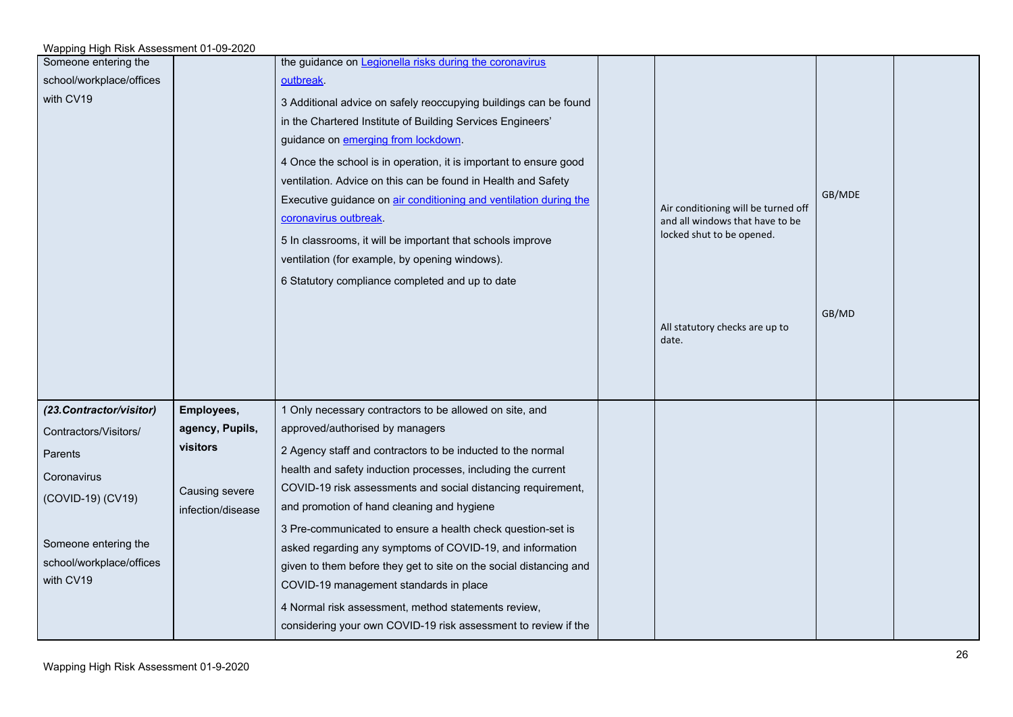| Someone entering the     |                   | the guidance on Legionella risks during the coronavirus            |                                     |        |  |
|--------------------------|-------------------|--------------------------------------------------------------------|-------------------------------------|--------|--|
| school/workplace/offices |                   | outbreak.                                                          |                                     |        |  |
| with CV19                |                   | 3 Additional advice on safely reoccupying buildings can be found   |                                     |        |  |
|                          |                   | in the Chartered Institute of Building Services Engineers'         |                                     |        |  |
|                          |                   | guidance on emerging from lockdown.                                |                                     |        |  |
|                          |                   | 4 Once the school is in operation, it is important to ensure good  |                                     |        |  |
|                          |                   | ventilation. Advice on this can be found in Health and Safety      |                                     |        |  |
|                          |                   | Executive guidance on air conditioning and ventilation during the  | Air conditioning will be turned off | GB/MDE |  |
|                          |                   | coronavirus outbreak.                                              | and all windows that have to be     |        |  |
|                          |                   | 5 In classrooms, it will be important that schools improve         | locked shut to be opened.           |        |  |
|                          |                   | ventilation (for example, by opening windows).                     |                                     |        |  |
|                          |                   | 6 Statutory compliance completed and up to date                    |                                     |        |  |
|                          |                   |                                                                    |                                     |        |  |
|                          |                   |                                                                    | All statutory checks are up to      | GB/MD  |  |
|                          |                   |                                                                    | date.                               |        |  |
|                          |                   |                                                                    |                                     |        |  |
|                          |                   |                                                                    |                                     |        |  |
| (23.Contractor/visitor)  | Employees,        | 1 Only necessary contractors to be allowed on site, and            |                                     |        |  |
| Contractors/Visitors/    | agency, Pupils,   | approved/authorised by managers                                    |                                     |        |  |
| Parents                  | visitors          | 2 Agency staff and contractors to be inducted to the normal        |                                     |        |  |
|                          |                   | health and safety induction processes, including the current       |                                     |        |  |
| Coronavirus              | Causing severe    | COVID-19 risk assessments and social distancing requirement,       |                                     |        |  |
| (COVID-19) (CV19)        | infection/disease | and promotion of hand cleaning and hygiene                         |                                     |        |  |
|                          |                   | 3 Pre-communicated to ensure a health check question-set is        |                                     |        |  |
| Someone entering the     |                   | asked regarding any symptoms of COVID-19, and information          |                                     |        |  |
| school/workplace/offices |                   | given to them before they get to site on the social distancing and |                                     |        |  |
| with CV19                |                   | COVID-19 management standards in place                             |                                     |        |  |
|                          |                   | 4 Normal risk assessment, method statements review,                |                                     |        |  |
|                          |                   | considering your own COVID-19 risk assessment to review if the     |                                     |        |  |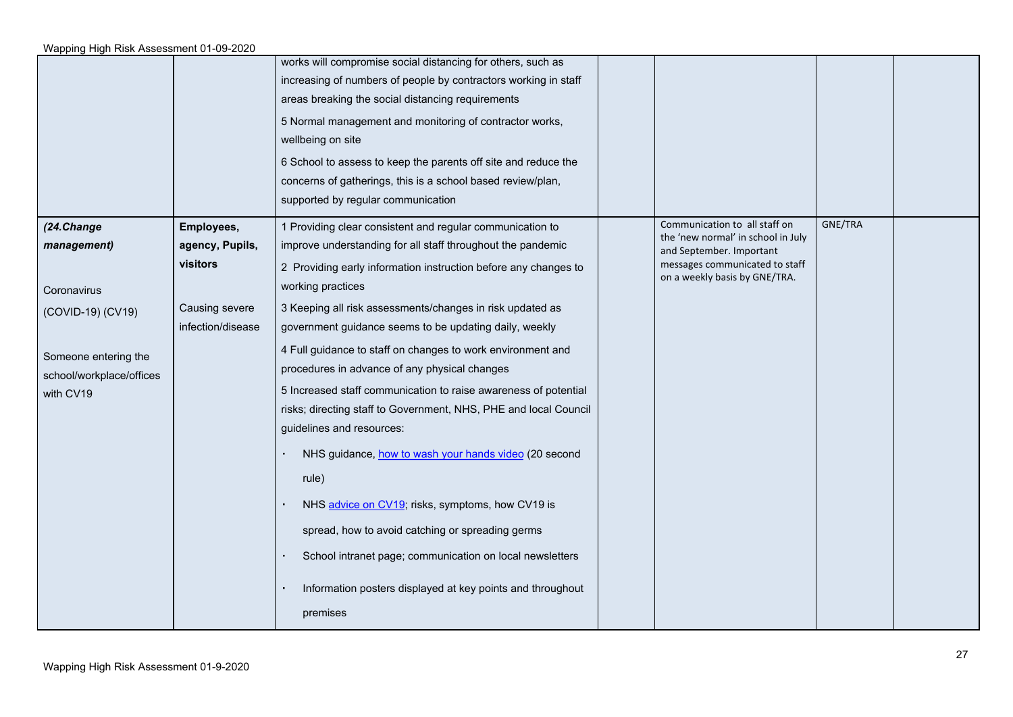|                                                                                                                                |                                                                                  | works will compromise social distancing for others, such as<br>increasing of numbers of people by contractors working in staff<br>areas breaking the social distancing requirements<br>5 Normal management and monitoring of contractor works,<br>wellbeing on site<br>6 School to assess to keep the parents off site and reduce the<br>concerns of gatherings, this is a school based review/plan,<br>supported by regular communication                                                                                                                                                                                                                                                                                                                                                                                                                                                                                                  |                                                                                                                                                                    |         |  |
|--------------------------------------------------------------------------------------------------------------------------------|----------------------------------------------------------------------------------|---------------------------------------------------------------------------------------------------------------------------------------------------------------------------------------------------------------------------------------------------------------------------------------------------------------------------------------------------------------------------------------------------------------------------------------------------------------------------------------------------------------------------------------------------------------------------------------------------------------------------------------------------------------------------------------------------------------------------------------------------------------------------------------------------------------------------------------------------------------------------------------------------------------------------------------------|--------------------------------------------------------------------------------------------------------------------------------------------------------------------|---------|--|
| (24.Change<br>management)<br>Coronavirus<br>(COVID-19) (CV19)<br>Someone entering the<br>school/workplace/offices<br>with CV19 | Employees,<br>agency, Pupils,<br>visitors<br>Causing severe<br>infection/disease | 1 Providing clear consistent and regular communication to<br>improve understanding for all staff throughout the pandemic<br>2 Providing early information instruction before any changes to<br>working practices<br>3 Keeping all risk assessments/changes in risk updated as<br>government guidance seems to be updating daily, weekly<br>4 Full guidance to staff on changes to work environment and<br>procedures in advance of any physical changes<br>5 Increased staff communication to raise awareness of potential<br>risks; directing staff to Government, NHS, PHE and local Council<br>guidelines and resources:<br>NHS guidance, how to wash your hands video (20 second<br>rule)<br>NHS advice on CV19; risks, symptoms, how CV19 is<br>spread, how to avoid catching or spreading germs<br>School intranet page; communication on local newsletters<br>Information posters displayed at key points and throughout<br>premises | Communication to all staff on<br>the 'new normal' in school in July<br>and September. Important<br>messages communicated to staff<br>on a weekly basis by GNE/TRA. | GNE/TRA |  |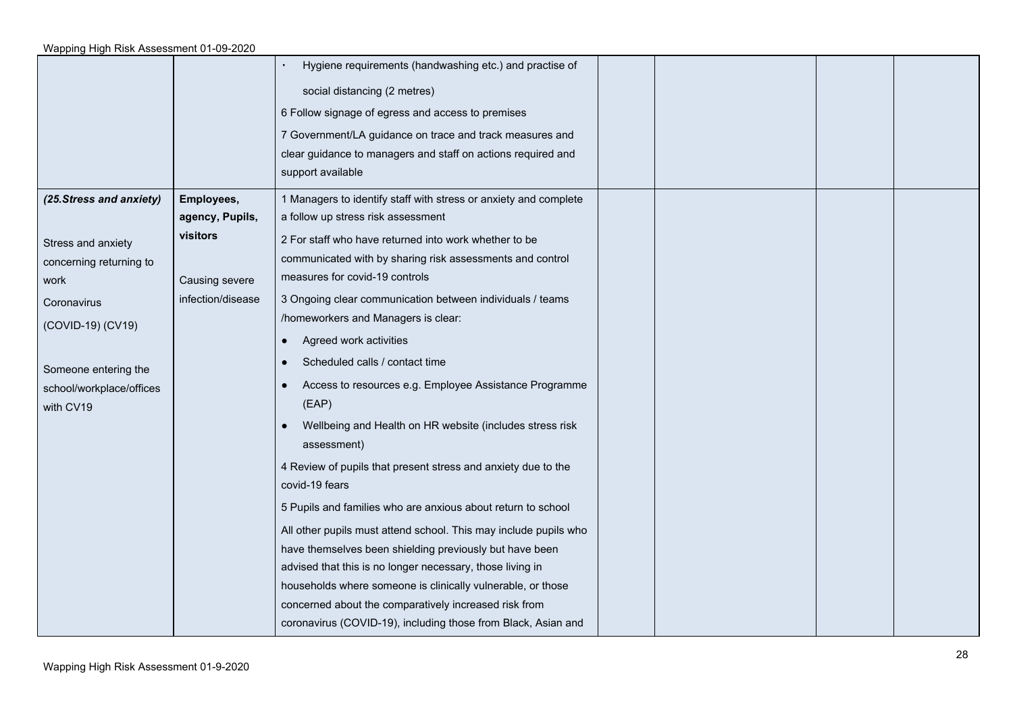|                                                                                                                                                            |                                                                    | Hygiene requirements (handwashing etc.) and practise of<br>social distancing (2 metres)<br>6 Follow signage of egress and access to premises<br>7 Government/LA guidance on trace and track measures and<br>clear guidance to managers and staff on actions required and<br>support available                                                                                                                                                                                                                                                                                                                                      |  |  |
|------------------------------------------------------------------------------------------------------------------------------------------------------------|--------------------------------------------------------------------|------------------------------------------------------------------------------------------------------------------------------------------------------------------------------------------------------------------------------------------------------------------------------------------------------------------------------------------------------------------------------------------------------------------------------------------------------------------------------------------------------------------------------------------------------------------------------------------------------------------------------------|--|--|
| Stress and anxiety<br>concerning returning to<br>work<br>Coronavirus<br>(COVID-19) (CV19)<br>Someone entering the<br>school/workplace/offices<br>with CV19 | agency, Pupils,<br>visitors<br>Causing severe<br>infection/disease | a follow up stress risk assessment<br>2 For staff who have returned into work whether to be<br>communicated with by sharing risk assessments and control<br>measures for covid-19 controls<br>3 Ongoing clear communication between individuals / teams<br>/homeworkers and Managers is clear:<br>Agreed work activities<br>$\bullet$<br>Scheduled calls / contact time<br>$\bullet$<br>Access to resources e.g. Employee Assistance Programme<br>$\bullet$<br>(EAP)<br>Wellbeing and Health on HR website (includes stress risk<br>assessment)<br>4 Review of pupils that present stress and anxiety due to the<br>covid-19 fears |  |  |
|                                                                                                                                                            |                                                                    | 5 Pupils and families who are anxious about return to school<br>All other pupils must attend school. This may include pupils who<br>have themselves been shielding previously but have been<br>advised that this is no longer necessary, those living in<br>households where someone is clinically vulnerable, or those<br>concerned about the comparatively increased risk from<br>coronavirus (COVID-19), including those from Black, Asian and                                                                                                                                                                                  |  |  |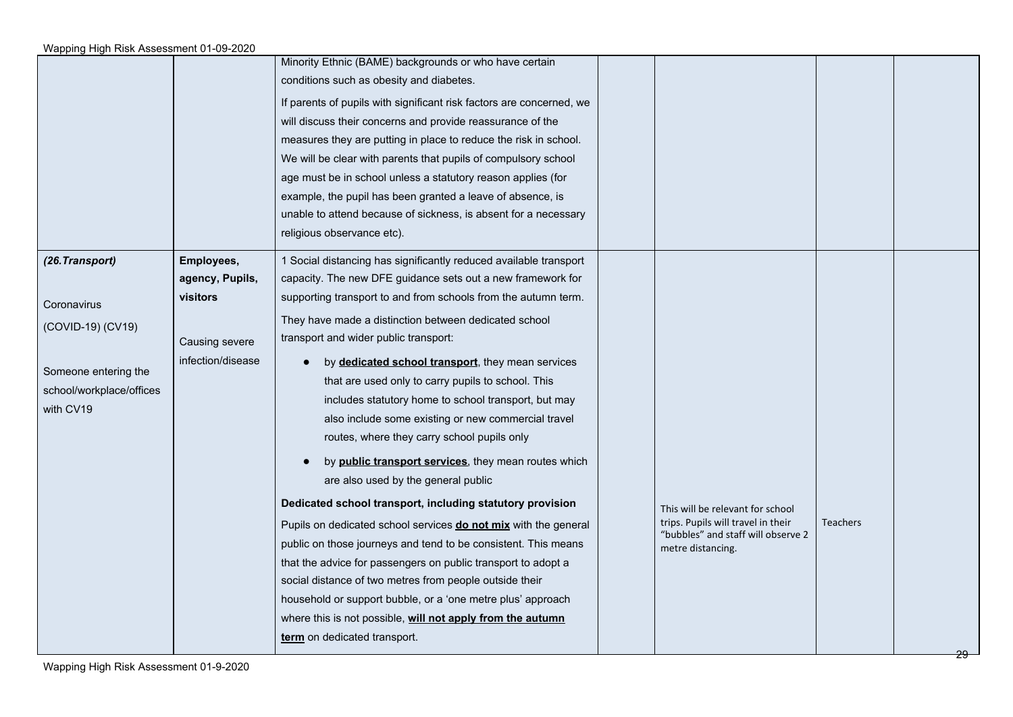|                          |                                     | Minority Ethnic (BAME) backgrounds or who have certain<br>conditions such as obesity and diabetes.<br>If parents of pupils with significant risk factors are concerned, we<br>will discuss their concerns and provide reassurance of the<br>measures they are putting in place to reduce the risk in school.<br>We will be clear with parents that pupils of compulsory school<br>age must be in school unless a statutory reason applies (for<br>example, the pupil has been granted a leave of absence, is<br>unable to attend because of sickness, is absent for a necessary<br>religious observance etc). |                                                                        |                 |  |
|--------------------------|-------------------------------------|---------------------------------------------------------------------------------------------------------------------------------------------------------------------------------------------------------------------------------------------------------------------------------------------------------------------------------------------------------------------------------------------------------------------------------------------------------------------------------------------------------------------------------------------------------------------------------------------------------------|------------------------------------------------------------------------|-----------------|--|
| (26. Transport)          | Employees,                          | 1 Social distancing has significantly reduced available transport                                                                                                                                                                                                                                                                                                                                                                                                                                                                                                                                             |                                                                        |                 |  |
|                          | agency, Pupils,<br>visitors         | capacity. The new DFE guidance sets out a new framework for<br>supporting transport to and from schools from the autumn term.                                                                                                                                                                                                                                                                                                                                                                                                                                                                                 |                                                                        |                 |  |
| Coronavirus              |                                     |                                                                                                                                                                                                                                                                                                                                                                                                                                                                                                                                                                                                               |                                                                        |                 |  |
| (COVID-19) (CV19)        |                                     | They have made a distinction between dedicated school<br>transport and wider public transport:                                                                                                                                                                                                                                                                                                                                                                                                                                                                                                                |                                                                        |                 |  |
|                          | Causing severe<br>infection/disease |                                                                                                                                                                                                                                                                                                                                                                                                                                                                                                                                                                                                               |                                                                        |                 |  |
| Someone entering the     |                                     | by <b>dedicated school transport</b> , they mean services                                                                                                                                                                                                                                                                                                                                                                                                                                                                                                                                                     |                                                                        |                 |  |
| school/workplace/offices |                                     | that are used only to carry pupils to school. This<br>includes statutory home to school transport, but may                                                                                                                                                                                                                                                                                                                                                                                                                                                                                                    |                                                                        |                 |  |
| with CV19                |                                     | also include some existing or new commercial travel                                                                                                                                                                                                                                                                                                                                                                                                                                                                                                                                                           |                                                                        |                 |  |
|                          |                                     | routes, where they carry school pupils only                                                                                                                                                                                                                                                                                                                                                                                                                                                                                                                                                                   |                                                                        |                 |  |
|                          |                                     | by <b>public transport services</b> , they mean routes which<br>are also used by the general public                                                                                                                                                                                                                                                                                                                                                                                                                                                                                                           |                                                                        |                 |  |
|                          |                                     | Dedicated school transport, including statutory provision                                                                                                                                                                                                                                                                                                                                                                                                                                                                                                                                                     | This will be relevant for school<br>trips. Pupils will travel in their | <b>Teachers</b> |  |
|                          |                                     | Pupils on dedicated school services do not mix with the general<br>public on those journeys and tend to be consistent. This means                                                                                                                                                                                                                                                                                                                                                                                                                                                                             | "bubbles" and staff will observe 2                                     |                 |  |
|                          |                                     | that the advice for passengers on public transport to adopt a                                                                                                                                                                                                                                                                                                                                                                                                                                                                                                                                                 | metre distancing.                                                      |                 |  |
|                          |                                     | social distance of two metres from people outside their                                                                                                                                                                                                                                                                                                                                                                                                                                                                                                                                                       |                                                                        |                 |  |
|                          |                                     | household or support bubble, or a 'one metre plus' approach                                                                                                                                                                                                                                                                                                                                                                                                                                                                                                                                                   |                                                                        |                 |  |
|                          |                                     | where this is not possible, will not apply from the autumn                                                                                                                                                                                                                                                                                                                                                                                                                                                                                                                                                    |                                                                        |                 |  |
|                          |                                     | term on dedicated transport.                                                                                                                                                                                                                                                                                                                                                                                                                                                                                                                                                                                  |                                                                        |                 |  |
|                          |                                     |                                                                                                                                                                                                                                                                                                                                                                                                                                                                                                                                                                                                               |                                                                        |                 |  |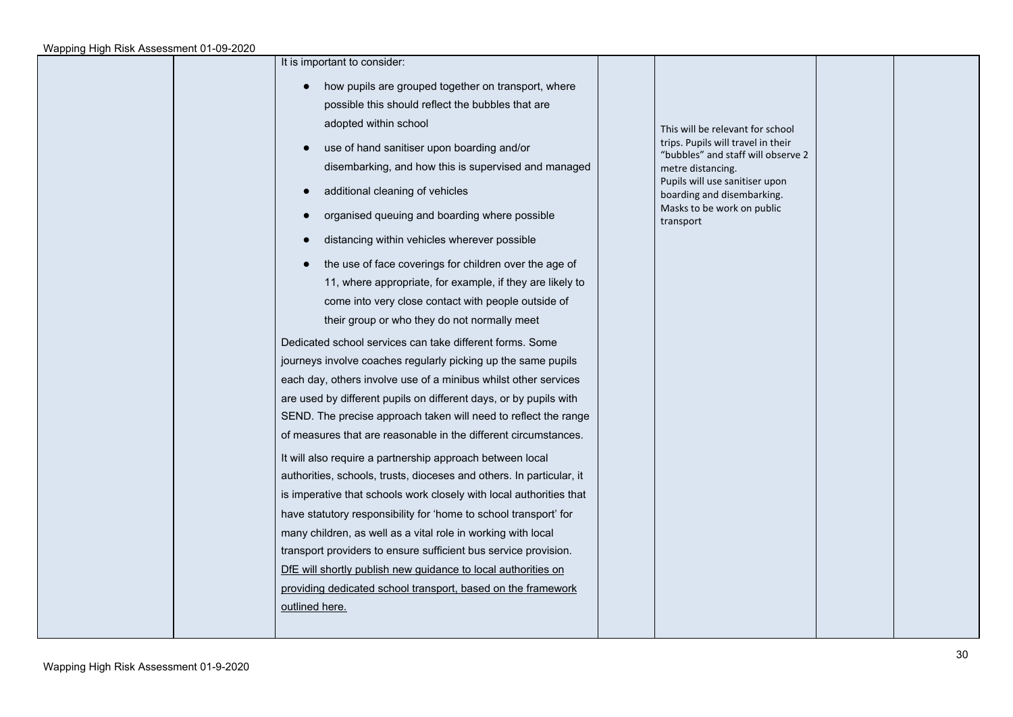| It is important to consider: |  |
|------------------------------|--|
|------------------------------|--|

- how pupils are grouped together on transport, where possible this should reflect the bubbles that are adopted within school
- use of hand sanitiser upon boarding and/or disembarking, and how this is supervised and managed
- additional cleaning of vehicles
- organised queuing and boarding where possible
- distancing within vehicles wherever possible
- the use of face coverings for children over the age of 11, where appropriate, for example, if they are likely to come into very close contact with people outside of their group or who they do not normally meet

Dedicated school services can take different forms. Some journeys involve coaches regularly picking up the same pupils each day, others involve use of a minibus whilst other services are used by different pupils on different days, or by pupils with SEND. The precise approach taken will need to reflect the range of measures that are reasonable in the different circumstances.

It will also require a partnership approach between local authorities, schools, trusts, dioceses and others. In particular, it is imperative that schools work closely with local authorities that have statutory responsibility for 'home to school transport' for many children, as well as a vital role in working with local transport providers to ensure sufficient bus service provision. DfE will shortly publish new guidance to local authorities on providing dedicated school transport, based on the framework outlined here.

This will be relevant for school trips. Pupils will travel in their "bubbles" and staff will observe 2 metre distancing. Pupils will use sanitiser upon boarding and disembarking. Masks to be work on public transport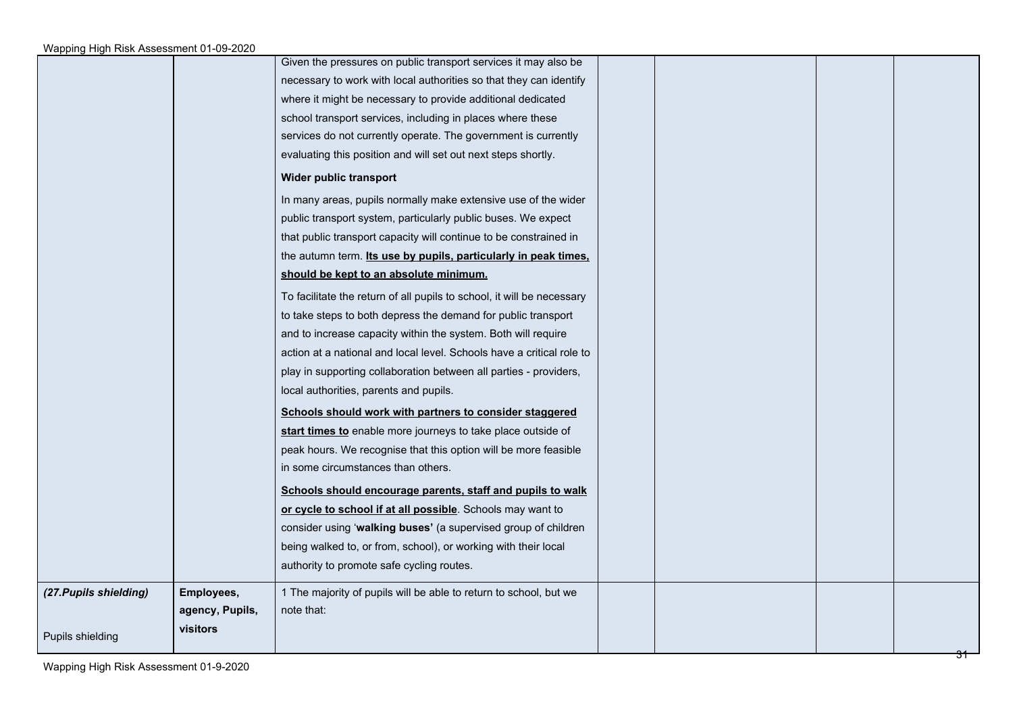|                        |                 | Given the pressures on public transport services it may also be        |  |  |
|------------------------|-----------------|------------------------------------------------------------------------|--|--|
|                        |                 | necessary to work with local authorities so that they can identify     |  |  |
|                        |                 | where it might be necessary to provide additional dedicated            |  |  |
|                        |                 | school transport services, including in places where these             |  |  |
|                        |                 | services do not currently operate. The government is currently         |  |  |
|                        |                 | evaluating this position and will set out next steps shortly.          |  |  |
|                        |                 | Wider public transport                                                 |  |  |
|                        |                 | In many areas, pupils normally make extensive use of the wider         |  |  |
|                        |                 | public transport system, particularly public buses. We expect          |  |  |
|                        |                 | that public transport capacity will continue to be constrained in      |  |  |
|                        |                 | the autumn term. Its use by pupils, particularly in peak times,        |  |  |
|                        |                 | should be kept to an absolute minimum.                                 |  |  |
|                        |                 | To facilitate the return of all pupils to school, it will be necessary |  |  |
|                        |                 | to take steps to both depress the demand for public transport          |  |  |
|                        |                 | and to increase capacity within the system. Both will require          |  |  |
|                        |                 | action at a national and local level. Schools have a critical role to  |  |  |
|                        |                 | play in supporting collaboration between all parties - providers,      |  |  |
|                        |                 | local authorities, parents and pupils.                                 |  |  |
|                        |                 | Schools should work with partners to consider staggered                |  |  |
|                        |                 | start times to enable more journeys to take place outside of           |  |  |
|                        |                 | peak hours. We recognise that this option will be more feasible        |  |  |
|                        |                 | in some circumstances than others.                                     |  |  |
|                        |                 | Schools should encourage parents, staff and pupils to walk             |  |  |
|                        |                 | or cycle to school if at all possible. Schools may want to             |  |  |
|                        |                 | consider using 'walking buses' (a supervised group of children         |  |  |
|                        |                 | being walked to, or from, school), or working with their local         |  |  |
|                        |                 | authority to promote safe cycling routes.                              |  |  |
| (27. Pupils shielding) | Employees,      | 1 The majority of pupils will be able to return to school, but we      |  |  |
|                        | agency, Pupils, | note that:                                                             |  |  |
| Pupils shielding       | visitors        |                                                                        |  |  |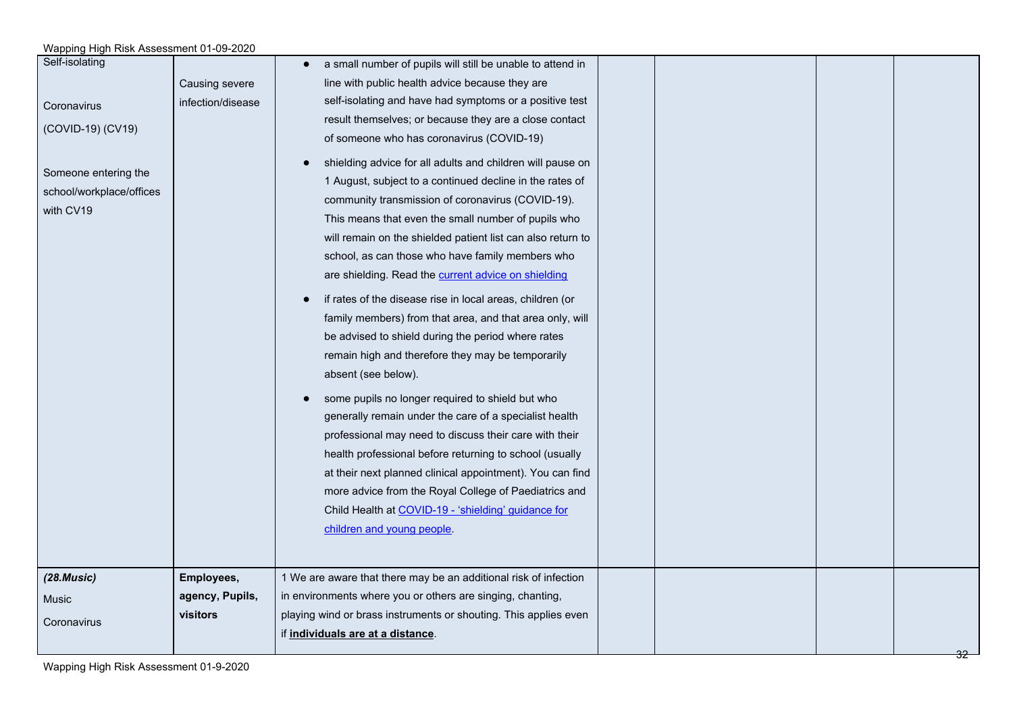| Self-isolating<br>Coronavirus<br>(COVID-19) (CV19)<br>Someone entering the<br>school/workplace/offices<br>with CV19 | Causing severe<br>infection/disease       | a small number of pupils will still be unable to attend in<br>line with public health advice because they are<br>self-isolating and have had symptoms or a positive test<br>result themselves; or because they are a close contact<br>of someone who has coronavirus (COVID-19)<br>shielding advice for all adults and children will pause on<br>1 August, subject to a continued decline in the rates of<br>community transmission of coronavirus (COVID-19).<br>This means that even the small number of pupils who<br>will remain on the shielded patient list can also return to<br>school, as can those who have family members who<br>are shielding. Read the current advice on shielding<br>if rates of the disease rise in local areas, children (or<br>$\bullet$<br>family members) from that area, and that area only, will<br>be advised to shield during the period where rates<br>remain high and therefore they may be temporarily<br>absent (see below).<br>some pupils no longer required to shield but who<br>generally remain under the care of a specialist health |  |
|---------------------------------------------------------------------------------------------------------------------|-------------------------------------------|---------------------------------------------------------------------------------------------------------------------------------------------------------------------------------------------------------------------------------------------------------------------------------------------------------------------------------------------------------------------------------------------------------------------------------------------------------------------------------------------------------------------------------------------------------------------------------------------------------------------------------------------------------------------------------------------------------------------------------------------------------------------------------------------------------------------------------------------------------------------------------------------------------------------------------------------------------------------------------------------------------------------------------------------------------------------------------------|--|
|                                                                                                                     |                                           | professional may need to discuss their care with their<br>health professional before returning to school (usually<br>at their next planned clinical appointment). You can find<br>more advice from the Royal College of Paediatrics and<br>Child Health at COVID-19 - 'shielding' guidance for                                                                                                                                                                                                                                                                                                                                                                                                                                                                                                                                                                                                                                                                                                                                                                                        |  |
|                                                                                                                     |                                           | children and young people.                                                                                                                                                                                                                                                                                                                                                                                                                                                                                                                                                                                                                                                                                                                                                                                                                                                                                                                                                                                                                                                            |  |
| (28.Music)<br>Music<br>Coronavirus                                                                                  | Employees,<br>agency, Pupils,<br>visitors | 1 We are aware that there may be an additional risk of infection<br>in environments where you or others are singing, chanting,<br>playing wind or brass instruments or shouting. This applies even<br>if individuals are at a distance.                                                                                                                                                                                                                                                                                                                                                                                                                                                                                                                                                                                                                                                                                                                                                                                                                                               |  |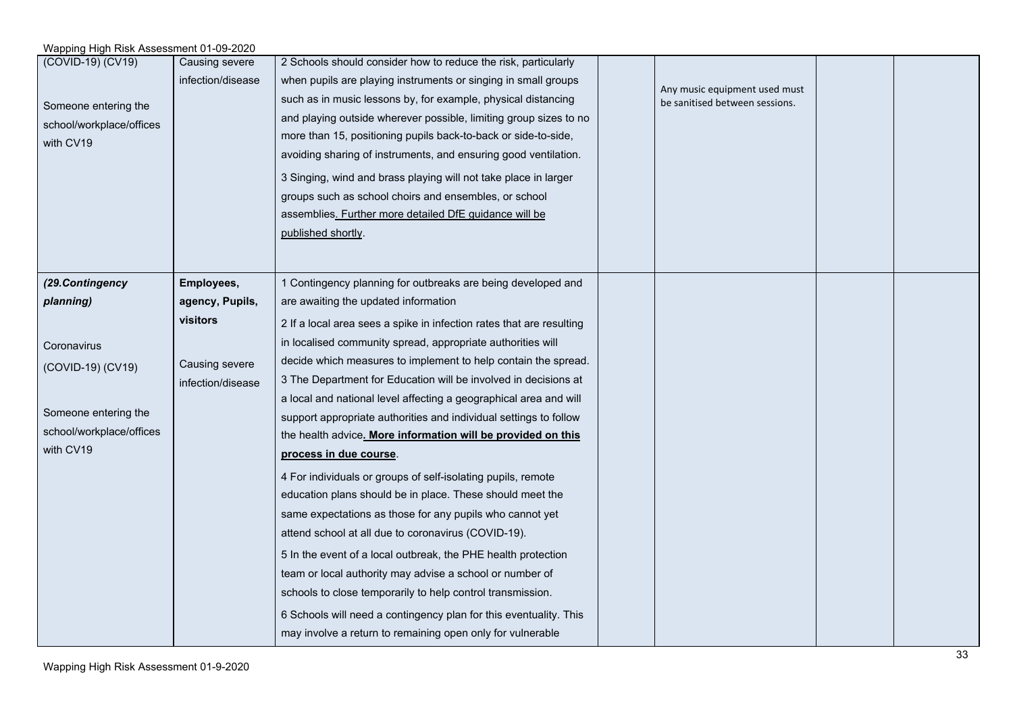| (COVID-19) (CV19)<br>Someone entering the<br>school/workplace/offices<br>with CV19 | Causing severe<br>infection/disease                                | 2 Schools should consider how to reduce the risk, particularly<br>when pupils are playing instruments or singing in small groups<br>such as in music lessons by, for example, physical distancing<br>and playing outside wherever possible, limiting group sizes to no<br>more than 15, positioning pupils back-to-back or side-to-side,<br>avoiding sharing of instruments, and ensuring good ventilation.<br>3 Singing, wind and brass playing will not take place in larger<br>groups such as school choirs and ensembles, or school<br>assemblies. Further more detailed DfE guidance will be<br>published shortly.                                                                                                                   | Any music equipment used must<br>be sanitised between sessions. |  |
|------------------------------------------------------------------------------------|--------------------------------------------------------------------|-------------------------------------------------------------------------------------------------------------------------------------------------------------------------------------------------------------------------------------------------------------------------------------------------------------------------------------------------------------------------------------------------------------------------------------------------------------------------------------------------------------------------------------------------------------------------------------------------------------------------------------------------------------------------------------------------------------------------------------------|-----------------------------------------------------------------|--|
| planning)<br>Coronavirus<br>(COVID-19) (CV19)<br>Someone entering the              | agency, Pupils,<br>visitors<br>Causing severe<br>infection/disease | are awaiting the updated information<br>2 If a local area sees a spike in infection rates that are resulting<br>in localised community spread, appropriate authorities will<br>decide which measures to implement to help contain the spread.<br>3 The Department for Education will be involved in decisions at<br>a local and national level affecting a geographical area and will                                                                                                                                                                                                                                                                                                                                                     |                                                                 |  |
| school/workplace/offices<br>with CV19                                              |                                                                    | support appropriate authorities and individual settings to follow<br>the health advice. More information will be provided on this<br>process in due course.<br>4 For individuals or groups of self-isolating pupils, remote<br>education plans should be in place. These should meet the<br>same expectations as those for any pupils who cannot yet<br>attend school at all due to coronavirus (COVID-19).<br>5 In the event of a local outbreak, the PHE health protection<br>team or local authority may advise a school or number of<br>schools to close temporarily to help control transmission.<br>6 Schools will need a contingency plan for this eventuality. This<br>may involve a return to remaining open only for vulnerable |                                                                 |  |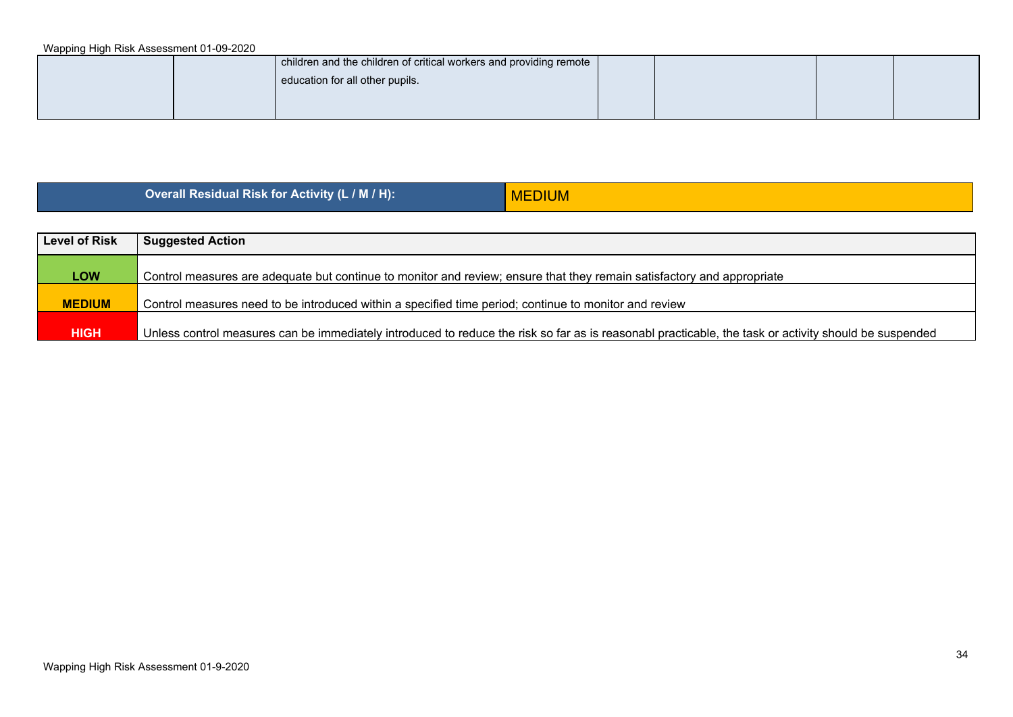| children and the children of critical workers and providing remote |  |  |
|--------------------------------------------------------------------|--|--|
| education for all other pupils.                                    |  |  |
|                                                                    |  |  |
|                                                                    |  |  |

**Overall Residual Risk for Activity (L / M / H):** MEDIUM

| <b>Level of Risk</b> | <b>Suggested Action</b>                                                                                                                               |
|----------------------|-------------------------------------------------------------------------------------------------------------------------------------------------------|
|                      |                                                                                                                                                       |
| <b>LOW</b>           | Control measures are adequate but continue to monitor and review; ensure that they remain satisfactory and appropriate                                |
|                      |                                                                                                                                                       |
| <b>MEDIUM</b>        | Control measures need to be introduced within a specified time period; continue to monitor and review                                                 |
|                      |                                                                                                                                                       |
| <b>HIGH</b>          | Unless control measures can be immediately introduced to reduce the risk so far as is reasonabl practicable, the task or activity should be suspended |